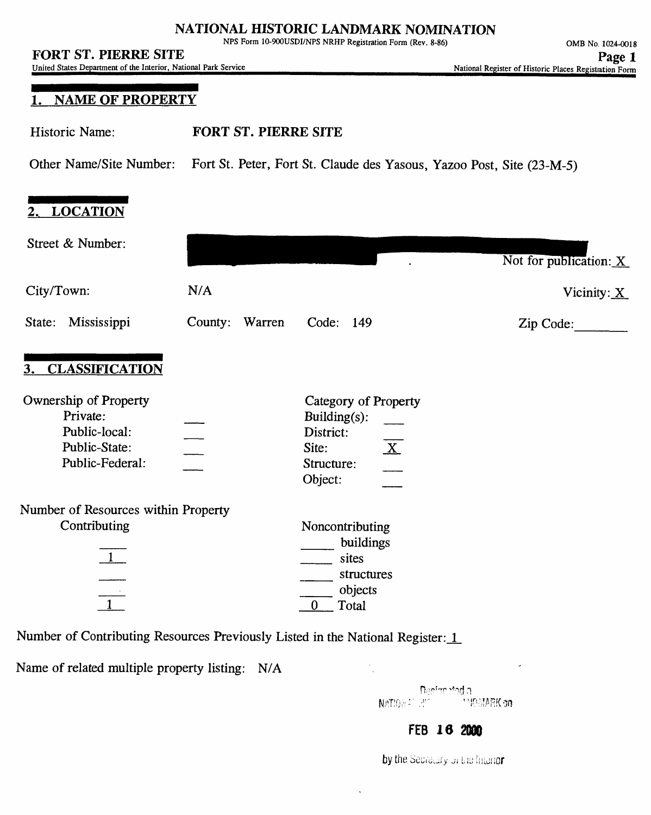### **NATIONAL HISTORIC LANDMARK NOMINATION**

NFS Form 10-900USDI/NPS NRHP Registration Form (Rev. 8-86)

United States Department of the Interior, National Park Service

# **, NAME OF PROPERTY**

Historic Name: **FORT ST. PIERRE SITE**

Other Name/Site Number: Fort St. Peter, Fort St. Claude des Yasous, Yazoo Post, Site (23-M-5)

# **2. LOCATION**

| Street & Number:                                                                       |                |                                                                                                                    | Not for publication: X    |  |  |
|----------------------------------------------------------------------------------------|----------------|--------------------------------------------------------------------------------------------------------------------|---------------------------|--|--|
| City/Town:                                                                             | N/A            |                                                                                                                    | Vicinity: $\underline{X}$ |  |  |
| Mississippi<br>State:                                                                  | County: Warren | Code: 149                                                                                                          | Zip Code:                 |  |  |
| 3. CLASSIFICATION                                                                      |                |                                                                                                                    |                           |  |  |
| Ownership of Property<br>Private:<br>Public-local:<br>Public-State:<br>Public-Federal: |                | Category of Property<br>Building $(s)$ :<br>District:<br>$\overline{\mathbf{X}}$<br>Site:<br>Structure:<br>Object: |                           |  |  |
| Number of Resources within Property<br>Contributing<br>$\boxed{1}$<br>$\frac{1}{1}$    |                | Noncontributing<br>buildings<br>sites<br>structures<br>objects<br>$\mathbf{0}$<br>Total                            |                           |  |  |
| Number of Contributing Resources Previously Listed in the National Register: 1         |                |                                                                                                                    |                           |  |  |

Name of related multiple property listing: N/A

Denian mod a NATIONAL LINE **MIDMARK** on

# FEB **Id 2000**

by the Secretary of the Interior

 $\ddot{\phantom{0}}$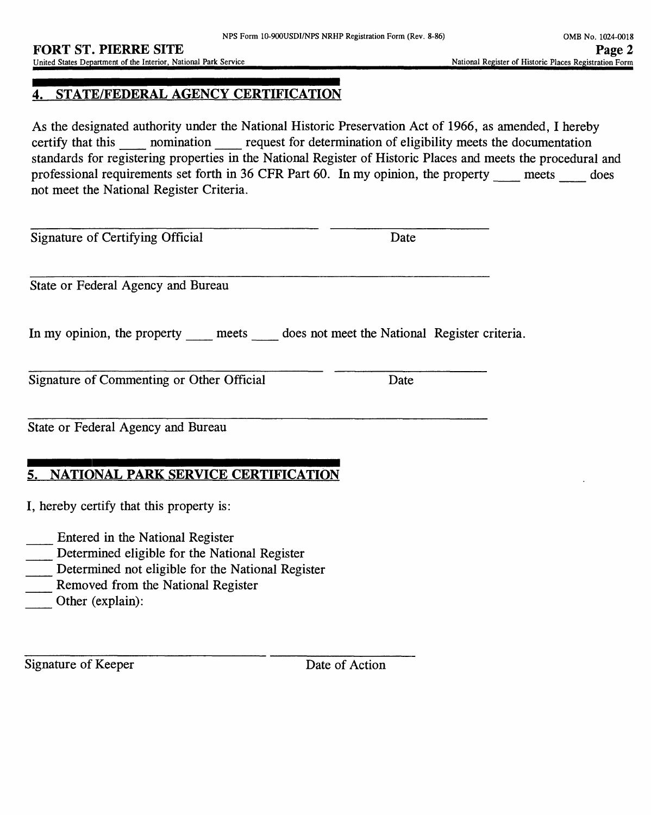### **4. STATE/FEDERAL AGENCY CERTIFICATION**

As the designated authority under the National Historic Preservation Act of 1966, as amended, I hereby certify that this momination request for determination of eligibility meets the documentation standards for registering properties in the National Register of Historic Places and meets the procedural and professional requirements set forth in 36 CFR Part 60. In my opinion, the property meets does not meet the National Register Criteria.

Signature of Certifying Official Date

State or Federal Agency and Bureau

In my opinion, the property meets does not meet the National Register criteria.

Signature of Commenting or Other Official Date

State or Federal Agency and Bureau

# **5. NATIONAL PARK SERVICE CERTIFICATION**

I, hereby certify that this property is:

\_\_ Entered in the National Register

- \_\_ Determined eligible for the National Register
- Determined not eligible for the National Register
- Removed from the National Register
- Other (explain):

Signature of Keeper Date of Action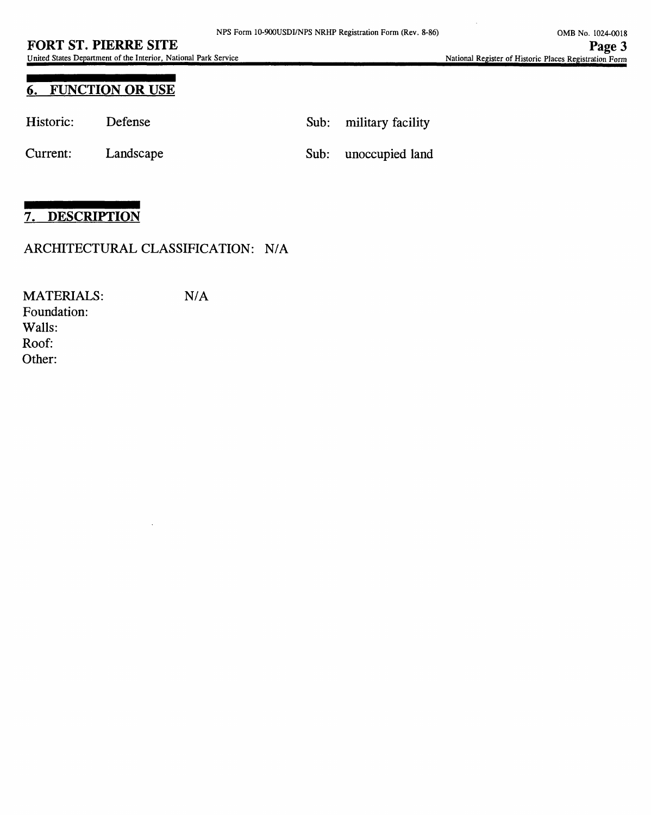United States Department of the Interior, National Park Service\_\_\_\_\_\_\_\_\_\_\_\_\_\_\_\_\_\_\_\_\_\_\_\_\_\_\_\_\_\_\_\_\_National Register of Historic Places Registration Form

# **6. FUNCTION OR USE**

| Historic: | Defense   | Sub: military facility |
|-----------|-----------|------------------------|
| Current:  | Landscape | Sub: unoccupied land   |

# **7. DESCRIPTION**

### ARCHITECTURAL CLASSIFICATION: N/A

MATERIALS: N/A Foundation: Walls: Roof: Other: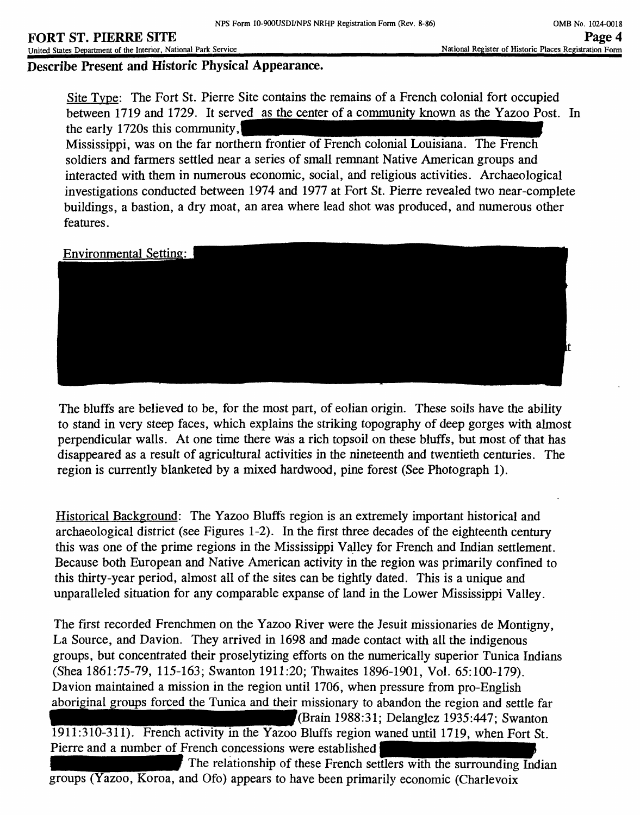# **FORT ST. PIERRE SITE**

United States Department of the Interior, National Park Service

**Describe Present and Historic Physical Appearance.**

Site Type: The Fort St. Pierre Site contains the remains of a French colonial fort occupied between 1719 and 1729. It served as the center of a community known as the Yazoo Post. In the early 1720s this community.

Mississippi, was on the far northern frontier of French colonial Louisiana. The French soldiers and farmers settled near a series of small remnant Native American groups and interacted with them in numerous economic, social, and religious activities. Archaeological investigations conducted between 1974 and 1977 at Fort St. Pierre revealed two near-complete buildings, a bastion, a dry moat, an area where lead shot was produced, and numerous other features.

Environmental Setting:



The bluffs are believed to be, for the most part, of eolian origin. These soils have the ability to stand in very steep faces, which explains the striking topography of deep gorges with almost perpendicular walls. At one time there was a rich topsoil on these bluffs, but most of that has disappeared as a result of agricultural activities in the nineteenth and twentieth centuries. The region is currently blanketed by a mixed hardwood, pine forest (See Photograph 1).

Historical Background: The Yazoo Bluffs region is an extremely important historical and archaeological district (see Figures 1-2). In the first three decades of the eighteenth century this was one of the prime regions in the Mississippi Valley for French and Indian settlement. Because both European and Native American activity in the region was primarily confined to this thirty-year period, almost all of the sites can be tightly dated. This is a unique and unparalleled situation for any comparable expanse of land in the Lower Mississippi Valley.

The first recorded Frenchmen on the Yazoo River were the Jesuit missionaries de Montigny, La Source, and Davion. They arrived in 1698 and made contact with all the indigenous groups, but concentrated their proselytizing efforts on the numerically superior Tunica Indians (Shea 1861:75-79, 115-163; Swanton 1911:20; Thwaites 1896-1901, Vol. 65:100-179). Davion maintained a mission in the region until 1706, when pressure from pro-English aboriginal groups forced the Tunica and their missionary to abandon the region and settle far \_\_ f(Brain 1988:31; Delanglez 1935:447; Swanton 1911:310-311). French activity in the Yazoo Bluffs region waned until 1719, when Fort St. Pierre and a number of French concessions were established The relationship of these French settlers with the surrounding Indian

groups (Yazoo, Koroa, and Ofo) appears to have been primarily economic (Charlevoix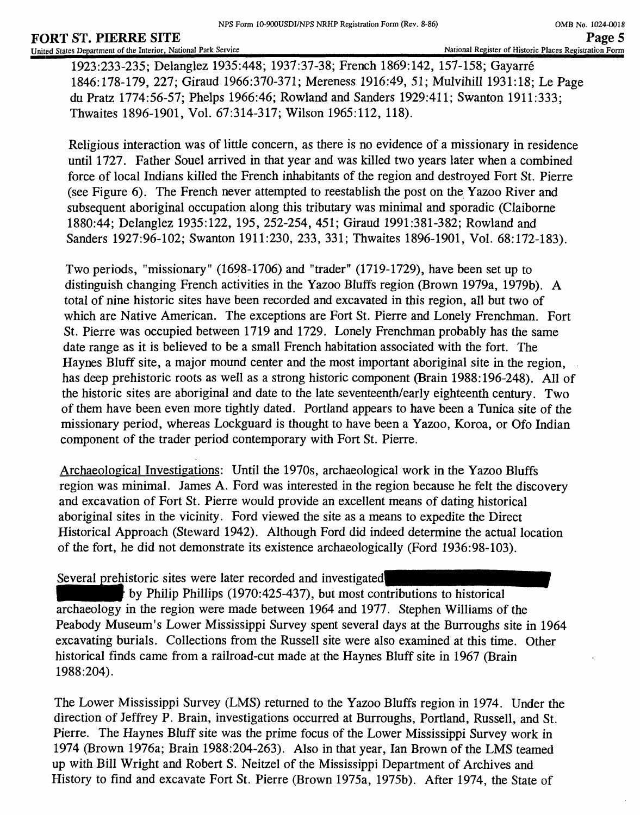1923:233-235; Delanglez 1935:448; 1937:37-38; French 1869:142, 157-158; Gayarre 1846:178-179, 227; Giraud 1966:370-371; Mereness 1916:49, 51; Mulvihill 1931:18; Le Page du Pratz 1774:56-57; Phelps 1966:46; Rowland and Sanders 1929:411; Swanton 1911:333; Thwaites 1896-1901, Vol. 67:314-317; Wilson 1965:112, 118).

Religious interaction was of little concern, as there is no evidence of a missionary in residence until 1727. Father Souel arrived in that year and was killed two years later when a combined force of local Indians killed the French inhabitants of the region and destroyed Fort St. Pierre (see Figure 6). The French never attempted to reestablish the post on the Yazoo River and subsequent aboriginal occupation along this tributary was minimal and sporadic (Claiborne 1880:44; Delanglez 1935:122, 195, 252-254, 451; Giraud 1991:381-382; Rowland and Sanders 1927:96-102; Swanton 1911:230, 233, 331; Thwaites 1896-1901, Vol. 68:172-183).

Two periods, "missionary" (1698-1706) and "trader" (1719-1729), have been set up to distinguish changing French activities in the Yazoo Bluffs region (Brown 1979a, 1979b). A total of nine historic sites have been recorded and excavated in this region, all but two of which are Native American. The exceptions are Fort St. Pierre and Lonely Frenchman. Fort St. Pierre was occupied between 1719 and 1729. Lonely Frenchman probably has the same date range as it is believed to be a small French habitation associated with the fort. The Haynes Bluff site, a major mound center and the most important aboriginal site in the region, has deep prehistoric roots as well as a strong historic component (Brain 1988:196-248). All of the historic sites are aboriginal and date to the late seventeenth/early eighteenth century. Two of them have been even more tightly dated. Portland appears to have been a Tunica site of the missionary period, whereas Lockguard is thought to have been a Yazoo, Koroa, or Ofo Indian component of the trader period contemporary with Fort St. Pierre.

Archaeological Investigations: Until the 1970s, archaeological work in the Yazoo Bluffs region was minimal. James A. Ford was interested in the region because he felt the discovery and excavation of Fort St. Pierre would provide an excellent means of dating historical aboriginal sites in the vicinity. Ford viewed the site as a means to expedite the Direct Historical Approach (Steward 1942). Although Ford did indeed determine the actual location of the fort, he did not demonstrate its existence archaeologically (Ford 1936:98-103).

Several prehistoric sites were later recorded and investigated

by Philip Phillips (1970:425-437), but most contributions to historical archaeology in the region were made between 1964 and 1977. Stephen Williams of the Peabody Museum's Lower Mississippi Survey spent several days at the Burroughs site in 1964 excavating burials. Collections from the Russell site were also examined at this time. Other historical finds came from a railroad-cut made at the Haynes Bluff site in 1967 (Brain 1988:204).

The Lower Mississippi Survey (LMS) returned to the Yazoo Bluffs region in 1974. Under the direction of Jeffrey P. Brain, investigations occurred at Burroughs, Portland, Russell, and St. Pierre. The Haynes Bluff site was the prime focus of the Lower Mississippi Survey work in 1974 (Brown 1976a; Brain 1988:204-263). Also in that year, lan Brown of the LMS teamed up with Bill Wright and Robert S. Neitzel of the Mississippi Department of Archives and History to find and excavate Fort St. Pierre (Brown 1975a, 1975b). After 1974, the State of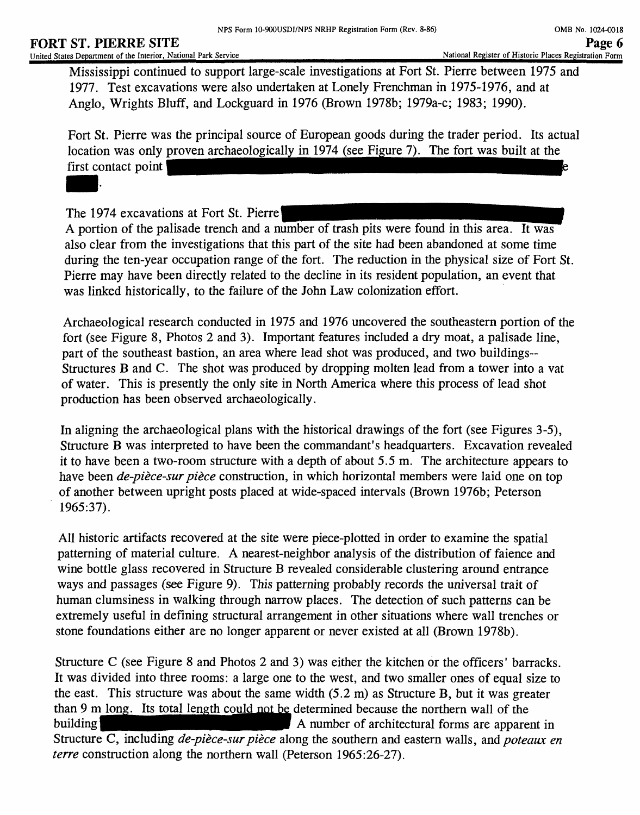Mississippi continued to support large-scale investigations at Fort St. Pierre between 1975 and 1977. Test excavations were also undertaken at Lonely Frenchman in 1975-1976, and at Anglo, Wrights Bluff, and Lockguard in 1976 (Brown 1978b; 1979a-c; 1983; 1990).

Fort St. Pierre was the principal source of European goods during the trader period. Its actual location was only proven archaeologically in 1974 (see Figure 7). The fort was built at the first contact point I

The 1974 excavations at Fort St. Pierre!

A portion of the palisade trench and a number of trash pits were found in this area. It was also clear from the investigations that this part of the site had been abandoned at some time during the ten-year occupation range of the fort. The reduction in the physical size of Fort St. Pierre may have been directly related to the decline in its resident population, an event that was linked historically, to the failure of the John Law colonization effort.

Archaeological research conducted in 1975 and 1976 uncovered the southeastern portion of the fort (see Figure 8, Photos 2 and 3). Important features included a dry moat, a palisade line, part of the southeast bastion, an area where lead shot was produced, and two buildings-- Structures B and C. The shot was produced by dropping molten lead from a tower into a vat of water. This is presently the only site in North America where this process of lead shot production has been observed archaeologically.

In aligning the archaeological plans with the historical drawings of the fort (see Figures 3-5), Structure B was interpreted to have been the commandant's headquarters. Excavation revealed it to have been a two-room structure with a depth of about 5.5 m. The architecture appears to have been *de-piece-sur piece* construction, in which horizontal members were laid one on top of another between upright posts placed at wide-spaced intervals (Brown 1976b; Peterson 1965:37).

All historic artifacts recovered at the site were piece-plotted in order to examine the spatial patterning of material culture. A nearest-neighbor analysis of the distribution of faience and wine bottle glass recovered in Structure B revealed considerable clustering around entrance ways and passages (see Figure 9). This patterning probably records the universal trait of human clumsiness in walking through narrow places. The detection of such patterns can be extremely useful in defining structural arrangement in other situations where wall trenches or stone foundations either are no longer apparent or never existed at all (Brown 1978b).

Structure C (see Figure 8 and Photos 2 and 3) was either the kitchen or the officers' barracks. It was divided into three rooms: a large one to the west, and two smaller ones of equal size to the east. This structure was about the same width (5.2 m) as Structure B, but it was greater than 9 m long. Its total length could not be determined because the northern wall of the building building  $\overrightarrow{A}$  number of architectural forms are apparent in Structure C, including *de-pièce-sur pièce* along the southern and eastern walls, and *poteaux en terre* construction along the northern wall (Peterson 1965:26-27).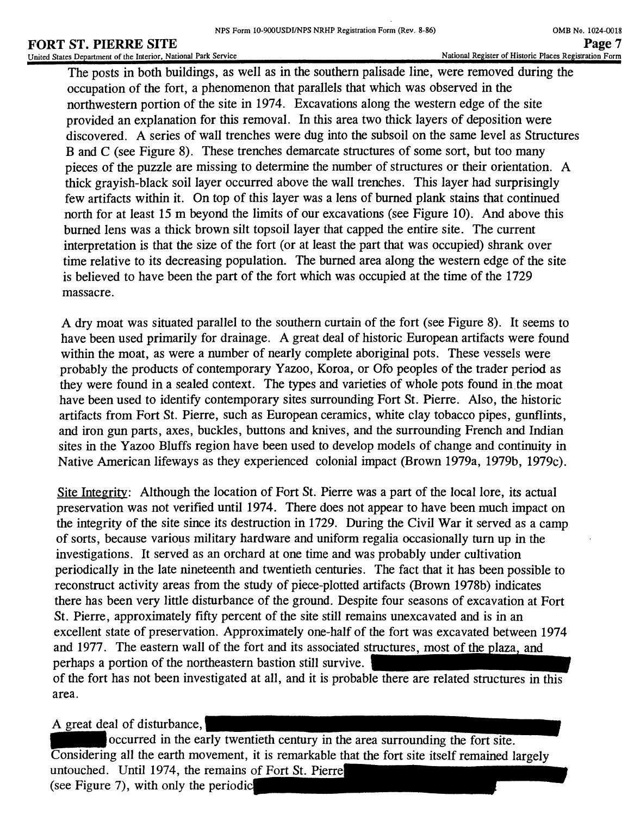# **FORT ST. PIERRE SITE**

United States Department of the Interior, National Park Service

The posts in both buildings, as well as in the southern palisade line, were removed during the occupation of the fort, a phenomenon that parallels that which was observed in the northwestern portion of the site in 1974. Excavations along the western edge of the site provided an explanation for this removal. In this area two thick layers of deposition were discovered. A series of wall trenches were dug into the subsoil on the same level as Structures B and C (see Figure 8). These trenches demarcate structures of some sort, but too many pieces of the puzzle are missing to determine the number of structures or their orientation. A thick grayish-black soil layer occurred above the wall trenches. This layer had surprisingly few artifacts within it. On top of this layer was a lens of burned plank stains that continued north for at least 15m beyond the limits of our excavations (see Figure 10). And above this burned lens was a thick brown silt topsoil layer that capped the entire site. The current interpretation is that the size of the fort (or at least the part that was occupied) shrank over time relative to its decreasing population. The burned area along the western edge of the site is believed to have been the part of the fort which was occupied at the time of the 1729 massacre.

A dry moat was situated parallel to the southern curtain of the fort (see Figure 8). It seems to have been used primarily for drainage. A great deal of historic European artifacts were found within the moat, as were a number of nearly complete aboriginal pots. These vessels were probably the products of contemporary Yazoo, Koroa, or Ofo peoples of the trader period as they were found in a sealed context. The types and varieties of whole pots found in the moat have been used to identify contemporary sites surrounding Fort St. Pierre. Also, the historic artifacts from Fort St. Pierre, such as European ceramics, white clay tobacco pipes, gunflints, and iron gun parts, axes, buckles, buttons and knives, and the surrounding French and Indian sites in the Yazoo Bluffs region have been used to develop models of change and continuity in Native American lifeways as they experienced colonial impact (Brown 1979a, 1979b, 1979c).

Site Integrity: Although the location of Fort St. Pierre was a part of the local lore, its actual preservation was not verified until 1974. There does not appear to have been much impact on the integrity of the site since its destruction in 1729. During the Civil War it served as a camp of sorts, because various military hardware and uniform regalia occasionally turn up in the investigations. It served as an orchard at one time and was probably under cultivation periodically in the late nineteenth and twentieth centuries. The fact that it has been possible to reconstruct activity areas from the study of piece-plotted artifacts (Brown 1978b) indicates there has been very little disturbance of the ground. Despite four seasons of excavation at Fort St. Pierre, approximately fifty percent of the site still remains unexcavated and is in an excellent state of preservation. Approximately one-half of the fort was excavated between 1974 and 1977. The eastern wall of the fort and its associated structures, most of the plaza, and perhaps a portion of the northeastern bastion still survive. of the fort has not been investigated at all, and it is probable there are related structures in this

A great deal of disturbance,

area.

occurred in the early twentieth century in the area surrounding the fort site. Considering all the earth movement, it is remarkable that the fort site itself remained largely untouched. Until 1974, the remains of Fort St. Pierre (see Figure 7), with only the periodic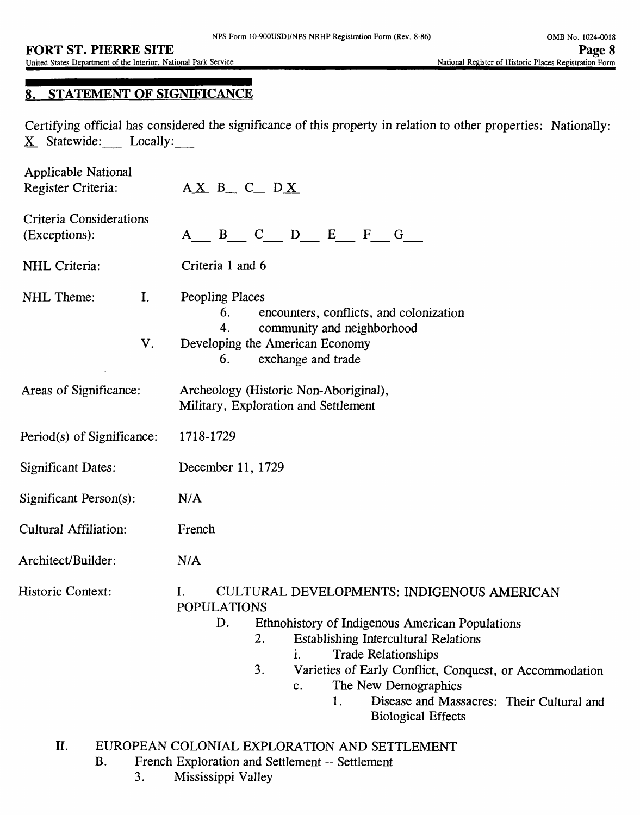# **8. STATEMENT OF SIGNIFICANCE**

Certifying official has considered the significance of this property in relation to other properties: Nationally: X\_ Statewide: Locally:\_\_

| Applicable National<br>Register Criteria:       | $AX B_C_C_D X$                                                                                                                                                                                                                                                                                                                                                                                          |  |  |
|-------------------------------------------------|---------------------------------------------------------------------------------------------------------------------------------------------------------------------------------------------------------------------------------------------------------------------------------------------------------------------------------------------------------------------------------------------------------|--|--|
| <b>Criteria Considerations</b><br>(Exceptions): | B C D E F G<br>$A \quad \alpha$                                                                                                                                                                                                                                                                                                                                                                         |  |  |
| NHL Criteria:                                   | Criteria 1 and 6                                                                                                                                                                                                                                                                                                                                                                                        |  |  |
| NHL Theme:<br>I.<br>V.                          | Peopling Places<br>encounters, conflicts, and colonization<br>6.<br>community and neighborhood<br>4.<br>Developing the American Economy<br>exchange and trade<br>6.                                                                                                                                                                                                                                     |  |  |
| Areas of Significance:                          | Archeology (Historic Non-Aboriginal),<br>Military, Exploration and Settlement                                                                                                                                                                                                                                                                                                                           |  |  |
| Period(s) of Significance:                      | 1718-1729                                                                                                                                                                                                                                                                                                                                                                                               |  |  |
| <b>Significant Dates:</b>                       | December 11, 1729                                                                                                                                                                                                                                                                                                                                                                                       |  |  |
| Significant Person(s):                          | N/A                                                                                                                                                                                                                                                                                                                                                                                                     |  |  |
| Cultural Affiliation:                           | French                                                                                                                                                                                                                                                                                                                                                                                                  |  |  |
| Architect/Builder:                              | N/A                                                                                                                                                                                                                                                                                                                                                                                                     |  |  |
| <b>Historic Context:</b>                        | CULTURAL DEVELOPMENTS: INDIGENOUS AMERICAN<br>I.<br><b>POPULATIONS</b><br>Ethnohistory of Indigenous American Populations<br>D.<br><b>Establishing Intercultural Relations</b><br>2.<br><b>Trade Relationships</b><br>i.<br>3.<br>Varieties of Early Conflict, Conquest, or Accommodation<br>The New Demographics<br>c.<br>Disease and Massacres: Their Cultural and<br>1.<br><b>Biological Effects</b> |  |  |
| II.                                             | EUROPEAN COLONIAL EXPLORATION AND SETTLEMENT                                                                                                                                                                                                                                                                                                                                                            |  |  |

- EUROPEAN COLONIAL EXPLORATION AND SETTLEMENT
	- B. French Exploration and Settlement -- Settlement
		- 3. Mississippi Valley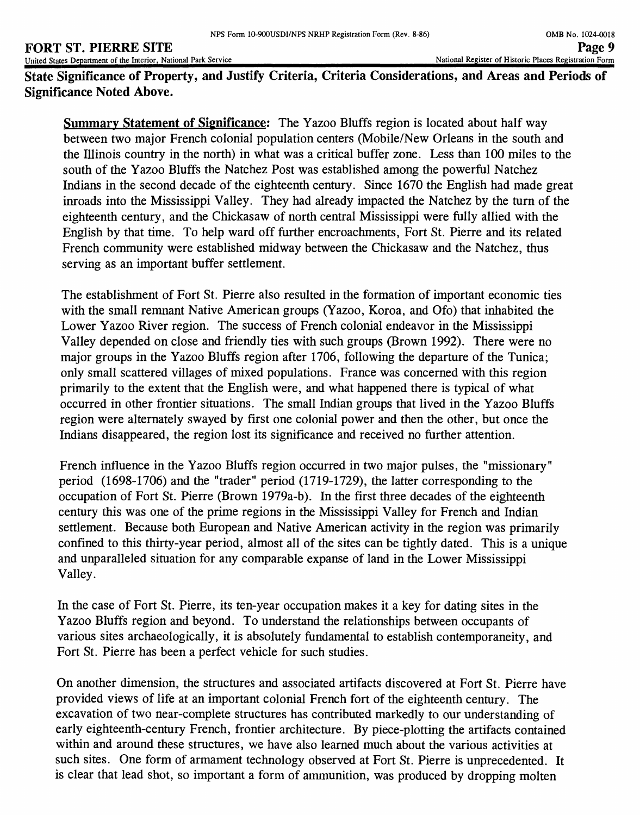#### **FORT ST. PIERRE SITE**<br>
United States Department of the Interior, National Park Service **Page 9**<br>
Page 19 Mational Register of Historic Places Registration Form United States Department of the Interior, National Park Service

**State Significance of Property, and Justify Criteria, Criteria Considerations, and Areas and Periods of Significance Noted Above.**

**Summary Statement of Significance:** The Yazoo Bluffs region is located about half way between two major French colonial population centers (Mobile/New Orleans in the south and the Illinois country in the north) in what was a critical buffer zone. Less than 100 miles to the south of the Yazoo Bluffs the Natchez Post was established among the powerful Natchez Indians in the second decade of the eighteenth century. Since 1670 the English had made great inroads into the Mississippi Valley. They had already impacted the Natchez by the turn of the eighteenth century, and the Chickasaw of north central Mississippi were fully allied with the English by that time. To help ward off further encroachments, Fort St. Pierre and its related French community were established midway between the Chickasaw and the Natchez, thus serving as an important buffer settlement.

The establishment of Fort St. Pierre also resulted in the formation of important economic ties with the small remnant Native American groups (Yazoo, Koroa, and Ofo) that inhabited the Lower Yazoo River region. The success of French colonial endeavor in the Mississippi Valley depended on close and friendly ties with such groups (Brown 1992). There were no major groups in the Yazoo Bluffs region after 1706, following the departure of the Tunica; only small scattered villages of mixed populations. France was concerned with this region primarily to the extent that the English were, and what happened there is typical of what occurred in other frontier situations. The small Indian groups that lived in the Yazoo Bluffs region were alternately swayed by first one colonial power and then the other, but once the Indians disappeared, the region lost its significance and received no further attention.

French influence in the Yazoo Bluffs region occurred in two major pulses, the "missionary" period (1698-1706) and the "trader" period (1719-1729), the latter corresponding to the occupation of Fort St. Pierre (Brown 1979a-b). In the first three decades of the eighteenth century this was one of the prime regions in the Mississippi Valley for French and Indian settlement. Because both European and Native American activity in the region was primarily confined to this thirty-year period, almost all of the sites can be tightly dated. This is a unique and unparalleled situation for any comparable expanse of land in the Lower Mississippi Valley.

In the case of Fort St. Pierre, its ten-year occupation makes it a key for dating sites in the Yazoo Bluffs region and beyond. To understand the relationships between occupants of various sites archaeologically, it is absolutely fundamental to establish contemporaneity, and Fort St. Pierre has been a perfect vehicle for such studies.

On another dimension, the structures and associated artifacts discovered at Fort St. Pierre have provided views of life at an important colonial French fort of the eighteenth century. The excavation of two near-complete structures has contributed markedly to our understanding of early eighteenth-century French, frontier architecture. By piece-plotting the artifacts contained within and around these structures, we have also learned much about the various activities at such sites. One form of armament technology observed at Fort St. Pierre is unprecedented. It is clear that lead shot, so important a form of ammunition, was produced by dropping molten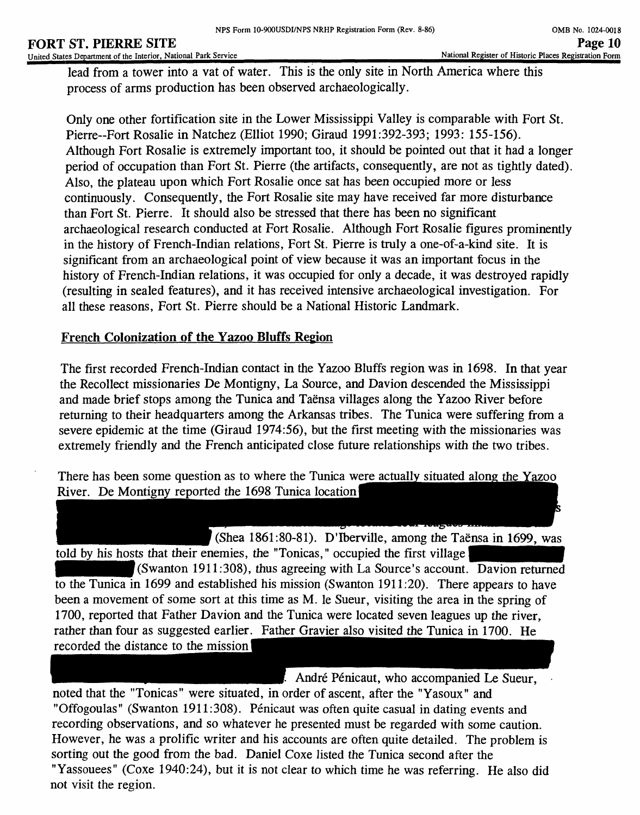#### **FORT ST. PIERRE SITE** United States Department of the Interior, National Park Service

lead from a tower into a vat of water. This is the only site in North America where this process of arms production has been observed archaeologically.

Only one other fortification site in the Lower Mississippi Valley is comparable with Fort St. Pierre-Fort Rosalie in Natchez (Elliot 1990; Giraud 1991:392-393; 1993: 155-156). Although Fort Rosalie is extremely important too, it should be pointed out that it had a longer period of occupation than Fort St. Pierre (the artifacts, consequently, are not as tightly dated). Also, the plateau upon which Fort Rosalie once sat has been occupied more or less continuously. Consequently, the Fort Rosalie site may have received far more disturbance than Fort St. Pierre. It should also be stressed that there has been no significant archaeological research conducted at Fort Rosalie. Although Fort Rosalie figures prominently in the history of French-Indian relations, Fort St. Pierre is truly a one-of-a-kind site. It is significant from an archaeological point of view because it was an important focus in the history of French-Indian relations, it was occupied for only a decade, it was destroyed rapidly (resulting in sealed features), and it has received intensive archaeological investigation. For all these reasons, Fort St. Pierre should be a National Historic Landmark.

# **French Colonization of the Yazoo Bluffs Region**

The first recorded French-Indian contact in the Yazoo Bluffs region was in 1698. In that year the Recollect missionaries De Mondgny, La Source, and Davion descended the Mississippi and made brief stops among the Tunica and Taënsa villages along the Yazoo River before returning to their headquarters among the Arkansas tribes. The Tunica were suffering from a severe epidemic at the time (Giraud 1974:56), but the first meeting with the missionaries was extremely friendly and the French anticipated close future relationships with the two tribes.

There has been some question as to where the Tunica were actually situated along the Yazoo River. De Montigny reported the 1698 Tunica location]

(Shea 1861:80-81). D'Iberville, among the Taënsa in 1699, was told by his hosts that their enemies, the "Tonicas," occupied the first village  $\mathcal{H}$ (Swanton 1911:308), thus agreeing with La Source's account. Davion returned to the Tunica in 1699 and established his mission (Swanton 1911:20). There appears to have been a movement of some sort at this time as M. le Sueur, visiting the area in the spring of 1700, reported that Father Davion and the Tunica were located seven leagues up the river, rather than four as suggested earlier. Father Gravier also visited the Tunica in 1700. He recorded the distance to the mission I

André Pénicaut, who accompanied Le Sueur, noted that the "Tonicas" were situated, in order of ascent, after the "Yasoux" and "Offogoulas" (Swanton 1911:308). Penicaut was often quite casual in dating events and recording observations, and so whatever he presented must be regarded with some caution. However, he was a prolific writer and his accounts are often quite detailed. The problem is sorting out the good from the bad. Daniel Coxe listed the Tunica second after the "Yassouees" (Coxe 1940:24), but it is not clear to which time he was referring. He also did not visit the region.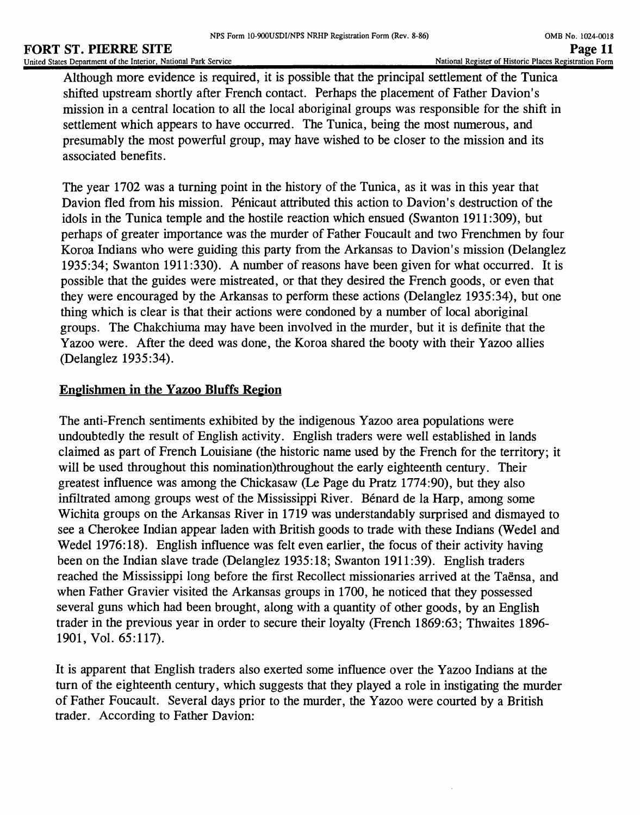Although more evidence is required, it is possible that the principal settlement of the Tunica shifted upstream shortly after French contact. Perhaps the placement of Father Davion's mission in a central location to all the local aboriginal groups was responsible for the shift in settlement which appears to have occurred. The Tunica, being the most numerous, and presumably the most powerful group, may have wished to be closer to the mission and its associated benefits.

The year 1702 was a turning point in the history of the Tunica, as it was in this year that Davion fled from his mission. Penicaut attributed this action to Davion's destruction of the idols in the Tunica temple and the hostile reaction which ensued (Swanton 1911:309), but perhaps of greater importance was the murder of Father Foucault and two Frenchmen by four Koroa Indians who were guiding this party from the Arkansas to Davion's mission (Delanglez 1935:34; Swanton 1911:330). A number of reasons have been given for what occurred. It is possible that the guides were mistreated, or that they desired the French goods, or even that they were encouraged by the Arkansas to perform these actions (Delanglez 1935:34), but one thing which is clear is that their actions were condoned by a number of local aboriginal groups. The Chakchiuma may have been involved in the murder, but it is definite that the Yazoo were. After the deed was done, the Koroa shared the booty with their Yazoo allies (Delanglez 1935:34).

# **Englishmen in the Yazoo Bluffs Region**

The anti-French sentiments exhibited by the indigenous Yazoo area populations were undoubtedly the result of English activity. English traders were well established in lands claimed as part of French Louisiane (the historic name used by the French for the territory; it will be used throughout this nomination)throughout the early eighteenth century. Their greatest influence was among the Chickasaw (Le Page du Pratz 1774:90), but they also infiltrated among groups west of the Mississippi River. Bénard de la Harp, among some Wichita groups on the Arkansas River in 1719 was understandably surprised and dismayed to see a Cherokee Indian appear laden with British goods to trade with these Indians (Wedel and Wedel 1976:18). English influence was felt even earlier, the focus of their activity having been on the Indian slave trade (Delanglez 1935:18; Swanton 1911:39). English traders reached the Mississippi long before the first Recollect missionaries arrived at the Taensa, and when Father Gravier visited the Arkansas groups in 1700, he noticed that they possessed several guns which had been brought, along with a quantity of other goods, by an English trader in the previous year in order to secure their loyalty (French 1869:63; Thwaites 1896- 1901, Vol. 65:117).

It is apparent that English traders also exerted some influence over the Yazoo Indians at the turn of the eighteenth century, which suggests that they played a role in instigating the murder of Father Foucault. Several days prior to the murder, the Yazoo were courted by a British trader. According to Father Davion: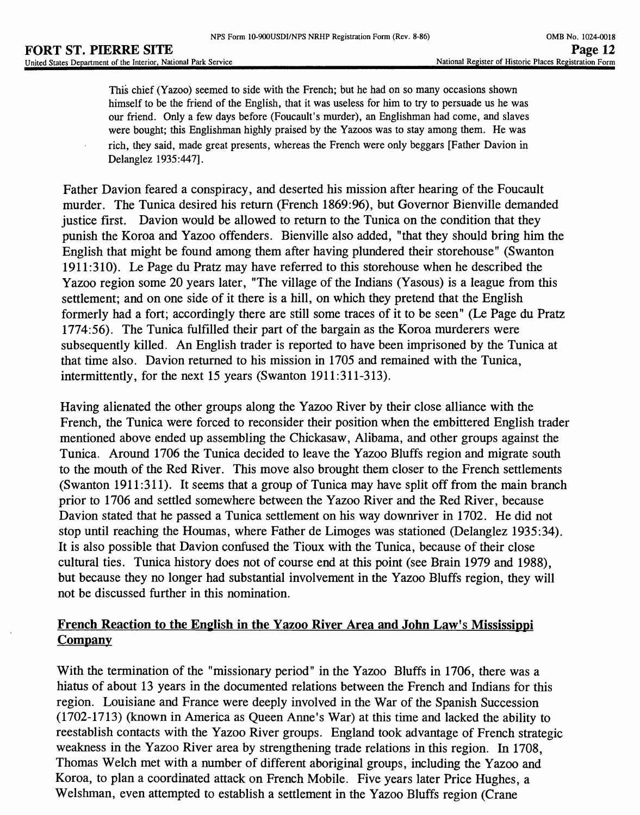This chief (Yazoo) seemed to side with the French; but he had on so many occasions shown himself to be the friend of the English, that it was useless for him to try to persuade us he was our friend. Only a few days before (Foucault's murder), an Englishman had come, and slaves were bought; this Englishman highly praised by the Yazoos was to stay among them. He was rich, they said, made great presents, whereas the French were only beggars [Father Davion in Delanglez 1935:447].

Father Davion feared a conspiracy, and deserted his mission after hearing of the Foucault murder. The Tunica desired his return (French 1869:96), but Governor Bienville demanded justice first. Davion would be allowed to return to the Tunica on the condition that they punish the Koroa and Yazoo offenders. Bienville also added, "that they should bring him the English that might be found among them after having plundered their storehouse" (Swanton 1911:310). Le Page du Pratz may have referred to this storehouse when he described the Yazoo region some 20 years later, "The village of the Indians (Yasous) is a league from this settlement; and on one side of it there is a hill, on which they pretend that the English formerly had a fort; accordingly there are still some traces of it to be seen" (Le Page du Pratz 1774:56). The Tunica fulfilled their part of the bargain as the Koroa murderers were subsequently killed. An English trader is reported to have been imprisoned by the Tunica at that time also. Davion returned to his mission in 1705 and remained with the Tunica, intermittently, for the next 15 years (Swanton 1911:311-313).

Having alienated the other groups along the Yazoo River by their close alliance with the French, the Tunica were forced to reconsider their position when the embittered English trader mentioned above ended up assembling the Chickasaw, Alibama, and other groups against the Tunica. Around 1706 the Tunica decided to leave the Yazoo Bluffs region and migrate south to the mouth of the Red River. This move also brought them closer to the French settlements (Swanton 1911:311). It seems that a group of Tunica may have split off from the main branch prior to 1706 and settled somewhere between the Yazoo River and the Red River, because Davion stated that he passed a Tunica settlement on his way downriver in 1702. He did not stop until reaching the Houmas, where Father de Limoges was stationed (Delanglez 1935:34). It is also possible that Davion confused the Tioux with the Tunica, because of their close cultural ties. Tunica history does not of course end at this point (see Brain 1979 and 1988), but because they no longer had substantial involvement in the Yazoo Bluffs region, they will not be discussed further in this nomination.

# **French Reaction to the English in the Yazoo River Area and John Law's Mississippi Company**

With the termination of the "missionary period" in the Yazoo Bluffs in 1706, there was a hiatus of about 13 years in the documented relations between the French and Indians for this region. Louisiane and France were deeply involved in the War of the Spanish Succession (1702-1713) (known in America as Queen Anne's War) at this time and lacked the ability to reestablish contacts with the Yazoo River groups. England took advantage of French strategic weakness in the Yazoo River area by strengthening trade relations in this region. In 1708, Thomas Welch met with a number of different aboriginal groups, including the Yazoo and Koroa, to plan a coordinated attack on French Mobile. Five years later Price Hughes, a Welshman, even attempted to establish a settlement in the Yazoo Bluffs region (Crane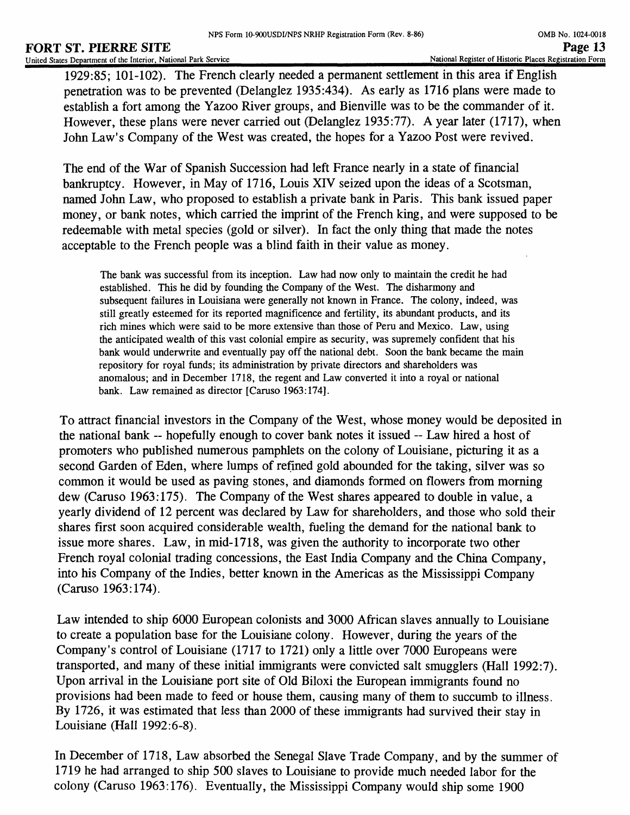1929:85; 101-102). The French clearly needed a permanent settlement in this area if English penetration was to be prevented (Delanglez 1935:434). As early as 1716 plans were made to establish a fort among the Yazoo River groups, and Bienville was to be the commander of it. However, these plans were never carried out (Delanglez 1935:77). A year later (1717), when John Law's Company of the West was created, the hopes for a Yazoo Post were revived.

The end of the War of Spanish Succession had left France nearly in a state of financial bankruptcy. However, in May of 1716, Louis XIV seized upon the ideas of a Scotsman, named John Law, who proposed to establish a private bank in Paris. This bank issued paper money, or bank notes, which carried the imprint of the French king, and were supposed to be redeemable with metal species (gold or silver). In fact the only thing that made the notes acceptable to the French people was a blind faith in their value as money.

The bank was successful from its inception. Law had now only to maintain the credit he had established. This he did by founding the Company of the West. The disharmony and subsequent failures in Louisiana were generally not known in France. The colony, indeed, was still greatly esteemed for its reported magnificence and fertility, its abundant products, and its rich mines which were said to be more extensive than those of Peru and Mexico. Law, using the anticipated wealth of this vast colonial empire as security, was supremely confident that his bank would underwrite and eventually pay off the national debt. Soon the bank became the main repository for royal funds; its administration by private directors and shareholders was anomalous; and in December 1718, the regent and Law converted it into a royal or national bank. Law remained as director [Caruso 1963:174].

To attract financial investors in the Company of the West, whose money would be deposited in the national bank -- hopefully enough to cover bank notes it issued -- Law hired a host of promoters who published numerous pamphlets on the colony of Louisiane, picturing it as a second Garden of Eden, where lumps of refined gold abounded for the taking, silver was so common it would be used as paving stones, and diamonds formed on flowers from morning dew (Caruso 1963:175). The Company of the West shares appeared to double in value, a yearly dividend of 12 percent was declared by Law for shareholders, and those who sold their shares first soon acquired considerable wealth, fueling the demand for the national bank to issue more shares. Law, in mid-1718, was given the authority to incorporate two other French royal colonial trading concessions, the East India Company and the China Company, into his Company of the Indies, better known in the Americas as the Mississippi Company (Caruso 1963:174).

Law intended to ship 6000 European colonists and 3000 African slaves annually to Louisiane to create a population base for the Louisiane colony. However, during the years of the Company's control of Louisiane (1717 to 1721) only a little over 7000 Europeans were transported, and many of these initial immigrants were convicted salt smugglers (Hall 1992:7). Upon arrival in the Louisiane port site of Old Biloxi the European immigrants found no provisions had been made to feed or house them, causing many of them to succumb to illness. By 1726, it was estimated that less than 2000 of these immigrants had survived their stay in Louisiane (Hall 1992:6-8).

In December of 1718, Law absorbed the Senegal Slave Trade Company, and by the summer of 1719 he had arranged to ship 500 slaves to Louisiane to provide much needed labor for the colony (Caruso 1963:176). Eventually, the Mississippi Company would ship some 1900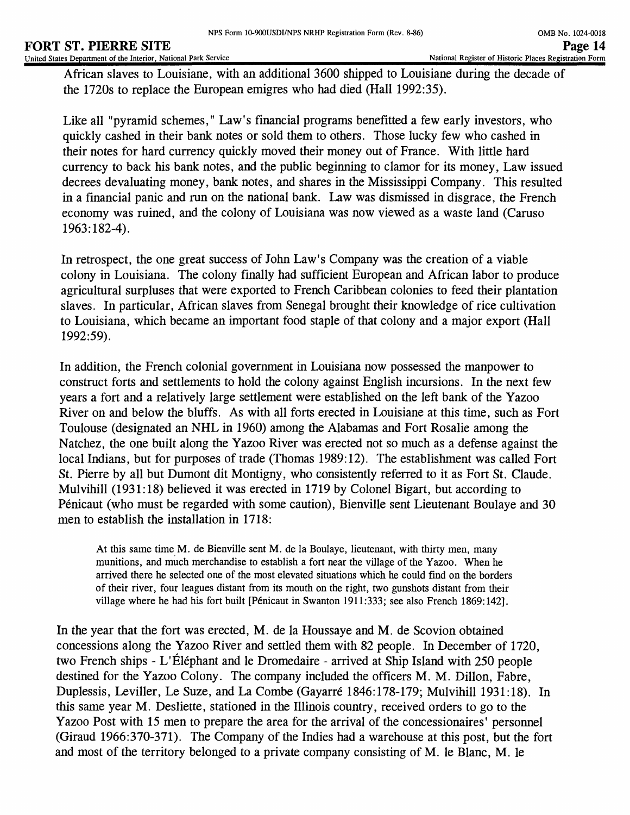African slaves to Louisiane, with an additional 3600 shipped to Louisiane during the decade of the 1720s to replace the European emigres who had died (Hall 1992:35).

Like all "pyramid schemes," Law's financial programs benefitted a few early investors, who quickly cashed in their bank notes or sold them to others. Those lucky few who cashed in their notes for hard currency quickly moved their money out of France. With little hard currency to back his bank notes, and the public beginning to clamor for its money, Law issued decrees devaluating money, bank notes, and shares in the Mississippi Company. This resulted in a financial panic and run on the national bank. Law was dismissed in disgrace, the French economy was ruined, and the colony of Louisiana was now viewed as a waste land (Caruso 1963:182-4).

In retrospect, the one great success of John Law's Company was the creation of a viable colony in Louisiana. The colony finally had sufficient European and African labor to produce agricultural surpluses that were exported to French Caribbean colonies to feed their plantation slaves. In particular, African slaves from Senegal brought their knowledge of rice cultivation to Louisiana, which became an important food staple of that colony and a major export (Hall 1992:59).

In addition, the French colonial government in Louisiana now possessed the manpower to construct forts and settlements to hold the colony against English incursions. In the next few years a fort and a relatively large settlement were established on the left bank of the Yazoo River on and below the bluffs. As with all forts erected in Louisiane at this time, such as Fort Toulouse (designated an NHL in 1960) among the Alabamas and Fort Rosalie among the Natchez, the one built along the Yazoo River was erected not so much as a defense against the local Indians, but for purposes of trade (Thomas 1989:12). The establishment was called Fort St. Pierre by all but Dumont dit Montigny, who consistently referred to it as Fort St. Claude. Mulvihill (1931:18) believed it was erected in 1719 by Colonel Bigart, but according to Penicaut (who must be regarded with some caution), Bienville sent Lieutenant Boulaye and 30 men to establish the installation in 1718:

At this same time M. de Bienville sent M. de la Boulaye, lieutenant, with thirty men, many munitions, and much merchandise to establish a fort near the village of the Yazoo. When he arrived there he selected one of the most elevated situations which he could find on the borders of their river, four leagues distant from its mouth on the right, two gunshots distant from their village where he had his fort built [Penicaut in Swanton 1911:333; see also French 1869:142].

In the year that the fort was erected, M. de la Houssaye and M. de Scovion obtained concessions along the Yazoo River and settled them with 82 people. In December of 1720, two French ships - L'Éléphant and le Dromedaire - arrived at Ship Island with 250 people destined for the Yazoo Colony. The company included the officers M. M. Dillon, Fabre, Duplessis, Leviller, Le Suze, and La Combe (Gayarre 1846:178-179; Mulvihill 1931:18). In this same year M. Desliette, stationed in the Illinois country, received orders to go to the Yazoo Post with 15 men to prepare the area for the arrival of the concessionaires' personnel (Giraud 1966:370-371). The Company of the Indies had a warehouse at this post, but the fort and most of the territory belonged to a private company consisting of M. le Blanc, M. le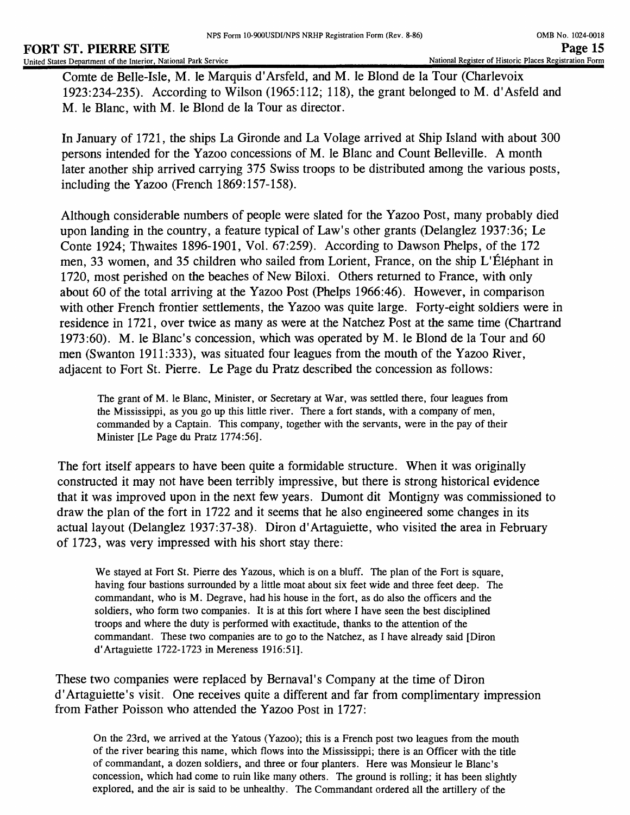Comte de Belle-Isle, M. le Marquis d'Arsfeld, and M. le Blond de la Tour (Charlevoix 1923:234-235). According to Wilson (1965:112; 118), the grant belonged to M. d'Asfeld and M. le Blanc, with M. le Blond de la Tour as director.

In January of 1721, the ships La Gironde and La Volage arrived at Ship Island with about 300 persons intended for the Yazoo concessions of M. le Blanc and Count Belleville. A month later another ship arrived carrying 375 Swiss troops to be distributed among the various posts, including the Yazoo (French 1869:157-158).

Although considerable numbers of people were slated for the Yazoo Post, many probably died upon landing in the country, a feature typical of Law's other grants (Delanglez 1937:36; Le Conte 1924; Thwaites 1896-1901, Vol. 67:259). According to Dawson Phelps, of the 172 men, 33 women, and 35 children who sailed from Lorient, France, on the ship L'Éléphant in 1720, most perished on the beaches of New Biloxi. Others returned to France, with only about 60 of the total arriving at the Yazoo Post (Phelps 1966:46). However, in comparison with other French frontier settlements, the Yazoo was quite large. Forty-eight soldiers were in residence in 1721, over twice as many as were at the Natchez Post at the same time (Chartrand 1973:60). M. le Blanc's concession, which was operated by M. le Blond de la Tour and 60 men (Swanton 1911:333), was situated four leagues from the mouth of the Yazoo River, adjacent to Fort St. Pierre. Le Page du Pratz described the concession as follows:

The grant of M. le Blanc, Minister, or Secretary at War, was settled there, four leagues from the Mississippi, as you go up this little river. There a fort stands, with a company of men, commanded by a Captain. This company, together with the servants, were in the pay of their Minister [Le Page du Pratz 1774:56].

The fort itself appears to have been quite a formidable structure. When it was originally constructed it may not have been terribly impressive, but there is strong historical evidence that it was improved upon in the next few years. Dumont dit Montigny was commissioned to draw the plan of the fort in 1722 and it seems that he also engineered some changes in its actual layout (Delanglez 1937:37-38). Diron d'Artaguiette, who visited the area in February of 1723, was very impressed with his short stay there:

We stayed at Fort St. Pierre des Yazous, which is on a bluff. The plan of the Fort is square, having four bastions surrounded by a little moat about six feet wide and three feet deep. The commandant, who is M. Degrave, had his house in the fort, as do also the officers and the soldiers, who form two companies. It is at this fort where I have seen the best disciplined troops and where the duty is performed with exactitude, thanks to the attention of the commandant. These two companies are to go to the Natchez, as I have already said [Diron d'Artaguiette 1722-1723 in Mereness 1916:51].

These two companies were replaced by Bernaval's Company at the time of Diron d'Artaguiette's visit. One receives quite a different and far from complimentary impression from Father Poisson who attended the Yazoo Post in 1727:

On the 23rd, we arrived at the Yatous (Yazoo); this is a French post two leagues from the mouth of the river bearing this name, which flows into the Mississippi; there is an Officer with the title of commandant, a dozen soldiers, and three or four planters. Here was Monsieur le Blanc's concession, which had come to ruin like many others. The ground is rolling; it has been slightly explored, and the air is said to be unhealthy. The Commandant ordered all the artillery of the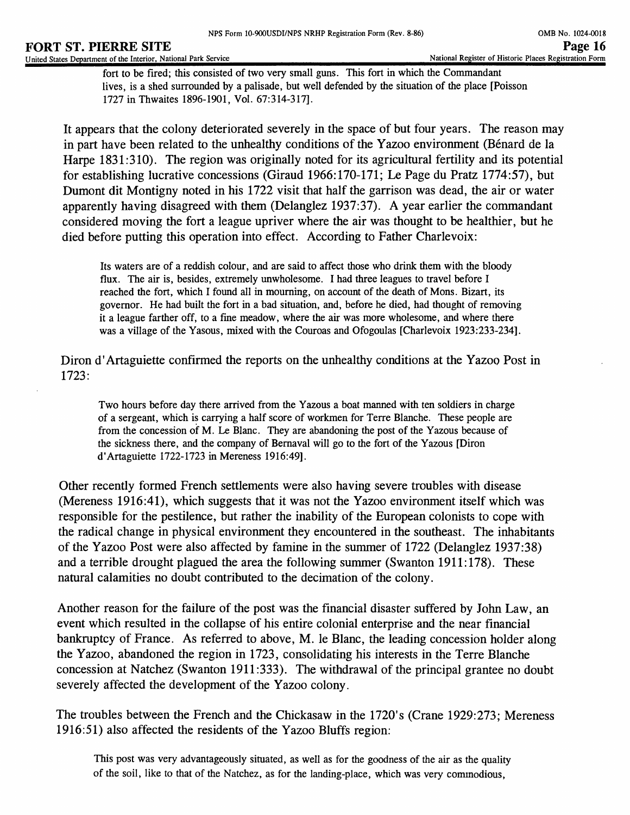fort to be fired; this consisted of two very small guns. This fort in which the Commandant lives, is a shed surrounded by a palisade, but well defended by the situation of the place [Poisson 1727 inThwaites 1896-1901, Vol. 67:314-317].

It appears that the colony deteriorated severely in the space of but four years. The reason may in part have been related to the unhealthy conditions of the Yazoo environment (Bénard de la Harpe 1831:310). The region was originally noted for its agricultural fertility and its potential for establishing lucrative concessions (Giraud 1966:170-171; Le Page du Pratz 1774:57), but Dumont dit Montigny noted in his 1722 visit that half the garrison was dead, the air or water apparently having disagreed with them (Delanglez 1937:37). A year earlier the commandant considered moving the fort a league upriver where the air was thought to be healthier, but he died before putting this operation into effect. According to Father Charlevoix:

Its waters are of a reddish colour, and are said to affect those who drink them with the bloody flux. The air is, besides, extremely unwholesome. I had three leagues to travel before I reached the fort, which I found all in mourning, on account of the death of Mons. Bizart, its governor. He had built the fort in a bad situation, and, before he died, had thought of removing it a league farther off, to a fine meadow, where the air was more wholesome, and where there was a village of the Yasous, mixed with the Couroas and Ofogoulas [Charlevoix 1923:233-234].

Diron d'Artaguiette confirmed the reports on the unhealthy conditions at the Yazoo Post in 1723:

Two hours before day there arrived from the Yazous a boat manned with ten soldiers in charge of a sergeant, which is carrying a half score of workmen for Terre Blanche. These people are from the concession of M. Le Blanc. They are abandoning the post of the Yazous because of the sickness there, and the company of Bernaval will go to the fort of the Yazous [Diron d'Artaguiette 1722-1723 in Mereness 1916:49].

Other recently formed French settlements were also having severe troubles with disease (Mereness 1916:41), which suggests that it was not the Yazoo environment itself which was responsible for the pestilence, but rather the inability of the European colonists to cope with the radical change in physical environment they encountered in the southeast. The inhabitants of the Yazoo Post were also affected by famine in the summer of 1722 (Delanglez 1937:38) and a terrible drought plagued the area the following summer (Swanton 1911:178). These natural calamities no doubt contributed to the decimation of the colony.

Another reason for the failure of the post was the financial disaster suffered by John Law, an event which resulted in the collapse of his entire colonial enterprise and the near financial bankruptcy of France. As referred to above, M. le Blanc, the leading concession holder along the Yazoo, abandoned the region in 1723, consolidating his interests in the Terre Blanche concession at Natchez (Swanton 1911:333). The withdrawal of the principal grantee no doubt severely affected the development of the Yazoo colony.

The troubles between the French and the Chickasaw in the 1720's (Crane 1929:273; Mereness 1916:51) also affected the residents of the Yazoo Bluffs region:

This post was very advantageously situated, as well as for the goodness of the air as the quality of the soil, like to that of the Natchez, as for the landing-place, which was very commodious,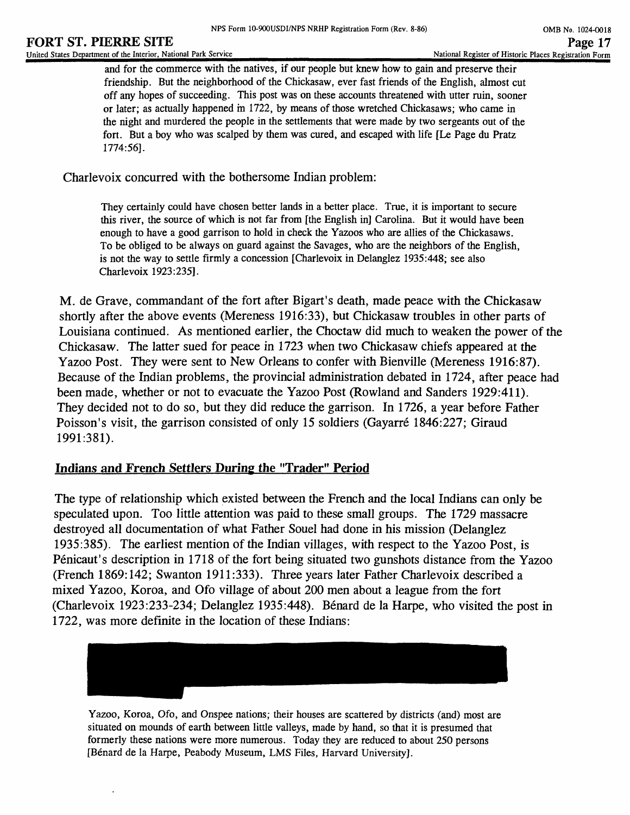#### **FORT ST. PIERRE SITE** PAGE 17<br>United States Department of the Interior, National Park Service **Page 17**<br>National Register of Historic Places Registration Form United States Department of the Interior, National Park Service

and for the commerce with the natives, if our people but knew how to gain and preserve their friendship. But the neighborhood of the Chickasaw, ever fast friends of the English, almost cut off any hopes of succeeding. This post was on these accounts threatened with utter ruin, sooner or later; as actually happened in 1722, by means of those wretched Chickasaws; who came hi the night and murdered the people in the settlements that were made by two sergeants out of the fort. But a boy who was scalped by them was cured, and escaped with life [Le Page du Pratz 1774:56].

Charlevoix concurred with the bothersome Indian problem:

They certainly could have chosen better lands in a better place. True, it is important to secure this river, the source of which is not far from [the English in] Carolina. But it would have been enough to have a good garrison to hold in check the Yazoos who are allies of the Chickasaws. To be obliged to be always on guard against the Savages, who are the neighbors of the English, is not the way to settle firmly a concession [Charlevoix in Delanglez 1935:448; see also Charlevoix 1923:235].

M. de Grave, commandant of the fort after Bigart's death, made peace with the Chickasaw shortly after the above events (Mereness 1916:33), but Chickasaw troubles in other parts of Louisiana continued. As mentioned earlier, the Choctaw did much to weaken the power of the Chickasaw. The latter sued for peace in 1723 when two Chickasaw chiefs appeared at the Yazoo Post. They were sent to New Orleans to confer with Bienville (Mereness 1916:87). Because of the Indian problems, the provincial administration debated in 1724, after peace had been made, whether or not to evacuate the Yazoo Post (Rowland and Sanders 1929:411). They decided not to do so, but they did reduce the garrison. In 1726, a year before Father Poisson's visit, the garrison consisted of only 15 soldiers (Gayarré 1846:227; Giraud 1991:381).

# **Indians and French Settlers During the "Trader" Period**

The type of relationship which existed between the French and the local Indians can only be speculated upon. Too little attention was paid to these small groups. The 1729 massacre destroyed all documentation of what Father Souel had done in his mission (Delanglez 1935:385). The earliest mention of the Indian villages, with respect to the Yazoo Post, is Penicaut's description in 1718 of the fort being situated two gunshots distance from the Yazoo (French 1869:142; Swanton 1911:333). Three years later Father Charlevoix described a mixed Yazoo, Koroa, and Ofo village of about 200 men about a league from the fort (Charlevoix 1923:233-234; Delanglez 1935:448). Benard de la Harpe, who visited the post in 1722, was more definite in the location of these Indians:



Yazoo, Koroa, Ofo, and Onspee nations; their houses are scattered by districts (and) most are situated on mounds of earth between little valleys, made by hand, so that it is presumed that formerly these nations were more numerous. Today they are reduced to about 250 persons [Benard de la Harpe, Peabody Museum, LMS Files, Harvard University].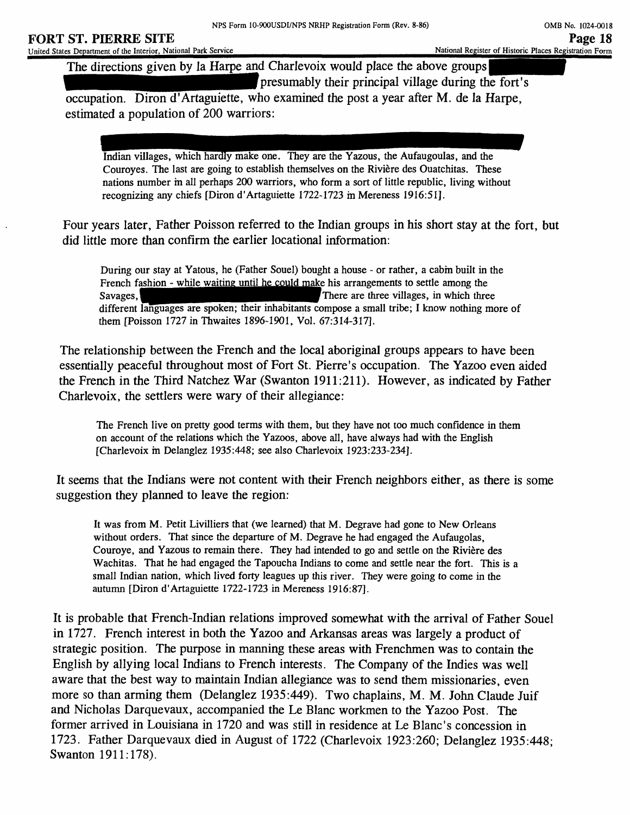# **FORT ST. PIERRE SITE**

The directions given by la Harpe and Charlevoix would place the above groups presumably their principal village during the fort's occupation. Diron d'Artaguiette, who examined the post a year after M. de la Harpe,

estimated a population of 200 warriors:

Indian villages, which hardly make one. They are the Yazous, the Aufaugoulas, and the Couroyes. The last are going to establish themselves on the Riviere des Ouatchitas. These nations number in all perhaps 200 warriors, who form a sort of little republic, living without recognizing any chiefs [Diron d'Artaguiette 1722-1723 in Mereness 1916:51].

Four years later, Father Poisson referred to the Indian groups in his short stay at the fort, but did little more than confirm the earlier locational information:

During our stay at Yatous, he (Father Souel) bought a house - or rather, a cabin built in the French fashion - while waiting until he could make his arrangements to settle among the Savages,  $\blacksquare$ There are three villages, in which three different languages are spoken; their inhabitants compose a small tribe; I know nothing more of them [Poisson 1727 in Thwaites 1896-1901, Vol. 67:314-317].

The relationship between the French and the local aboriginal groups appears to have been essentially peaceful throughout most of Fort St. Pierre's occupation. The Yazoo even aided the French in the Third Natchez War (Swanton 1911:211). However, as indicated by Father Charlevoix, the settlers were wary of their allegiance:

The French live on pretty good terms with them, but they have not too much confidence in them on account of the relations which the Yazoos, above all, have always had with the English [Charlevoix in Delanglez 1935:448; see also Charlevoix 1923:233-234].

It seems that the Indians were not content with their French neighbors either, as there is some suggestion they planned to leave the region:

It was from M. Petit Livilliers that (we learned) that M. Degrave had gone to New Orleans without orders. That since the departure of M. Degrave he had engaged the Aufaugolas, Couroye, and Yazous to remain there. They had intended to go and settle on the Riviere des Wachitas. That he had engaged the Tapoucha Indians to come and settle near the fort. This is a small Indian nation, which lived forty leagues up this river. They were going to come in the autumn [Diron d'Artaguiette 1722-1723 in Mereness 1916:87].

It is probable that French-Indian relations improved somewhat with the arrival of Father Souel in 1727. French interest in both the Yazoo and Arkansas areas was largely a product of strategic position. The purpose in manning these areas with Frenchmen was to contain the English by allying local Indians to French interests. The Company of the Indies was well aware that the best way to maintain Indian allegiance was to send them missionaries, even more so than arming them (Delanglez 1935:449). Two chaplains, M. M. John Claude Juif and Nicholas Darquevaux, accompanied the Le Blanc workmen to the Yazoo Post. The former arrived in Louisiana in 1720 and was still in residence at Le Blanc's concession in 1723. Father Darquevaux died in August of 1722 (Charlevoix 1923:260; Delanglez 1935:448; Swanton 1911:178).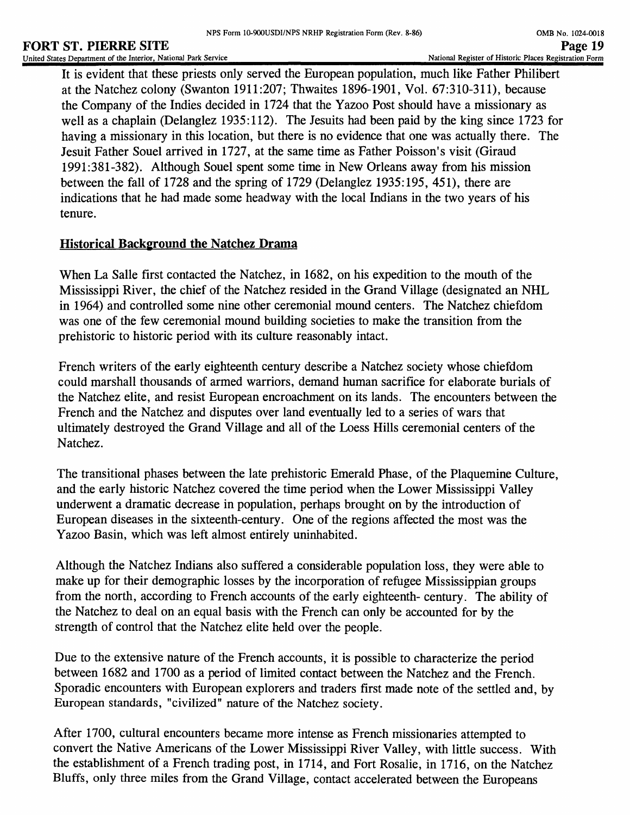It is evident that these priests only served the European population, much like Father Philibert at the Natchez colony (Swanton 1911:207; Thwaites 1896-1901, Vol. 67:310-311), because the Company of the Indies decided in 1724 that the Yazoo Post should have a missionary as well as a chaplain (Delanglez 1935:112). The Jesuits had been paid by the king since 1723 for having a missionary in this location, but there is no evidence that one was actually there. The Jesuit Father Souel arrived in 1727, at the same time as Father Poisson's visit (Giraud 1991:381-382). Although Souel spent some time in New Orleans away from his mission between the fall of 1728 and the spring of 1729 (Delanglez 1935:195, 451), there are indications that he had made some headway with the local Indians in the two years of his tenure.

# **Historical Background the Natchez Drama**

When La Salle first contacted the Natchez, in 1682, on his expedition to the mouth of the Mississippi River, the chief of the Natchez resided in the Grand Village (designated an NHL in 1964) and controlled some nine other ceremonial mound centers. The Natchez chiefdom was one of the few ceremonial mound building societies to make the transition from the prehistoric to historic period with its culture reasonably intact.

French writers of the early eighteenth century describe a Natchez society whose chiefdom could marshall thousands of armed warriors, demand human sacrifice for elaborate burials of the Natchez elite, and resist European encroachment on its lands. The encounters between the French and the Natchez and disputes over land eventually led to a series of wars that ultimately destroyed the Grand Village and all of the Loess Hills ceremonial centers of the Natchez.

The transitional phases between the late prehistoric Emerald Phase, of the Plaquemine Culture, and the early historic Natchez covered the time period when the Lower Mississippi Valley underwent a dramatic decrease in population, perhaps brought on by the introduction of European diseases in the sixteenth-century. One of the regions affected the most was the Yazoo Basin, which was left almost entirely uninhabited.

Although the Natchez Indians also suffered a considerable population loss, they were able to make up for their demographic losses by the incorporation of refugee Mississippian groups from the north, according to French accounts of the early eighteenth- century. The ability of the Natchez to deal on an equal basis with the French can only be accounted for by the strength of control that the Natchez elite held over the people.

Due to the extensive nature of the French accounts, it is possible to characterize the period between 1682 and 1700 as a period of limited contact between the Natchez and the French. Sporadic encounters with European explorers and traders first made note of the settled and, by European standards, "civilized" nature of the Natchez society.

After 1700, cultural encounters became more intense as French missionaries attempted to convert the Native Americans of the Lower Mississippi River Valley, with little success. With the establishment of a French trading post, in 1714, and Fort Rosalie, in 1716, on the Natchez Bluffs, only three miles from the Grand Village, contact accelerated between the Europeans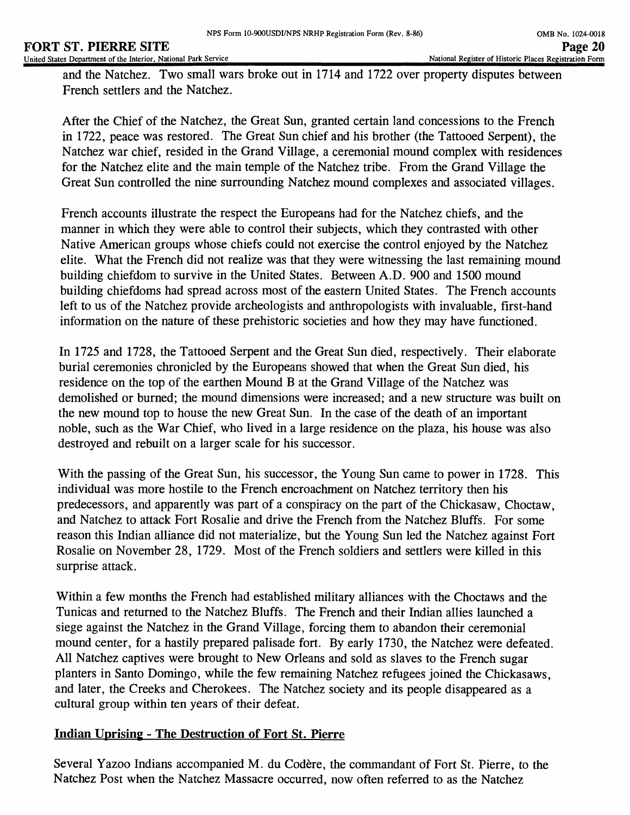and the Natchez. Two small wars broke out in 1714 and 1722 over property disputes between French settlers and the Natchez.

After the Chief of the Natchez, the Great Sun, granted certain land concessions to the French in 1722, peace was restored. The Great Sun chief and his brother (the Tattooed Serpent), the Natchez war chief, resided in the Grand Village, a ceremonial mound complex with residences for the Natchez elite and the main temple of the Natchez tribe. From the Grand Village the Great Sun controlled the nine surrounding Natchez mound complexes and associated villages.

French accounts illustrate the respect the Europeans had for the Natchez chiefs, and the manner in which they were able to control their subjects, which they contrasted with other Native American groups whose chiefs could not exercise the control enjoyed by the Natchez elite. What the French did not realize was that they were witnessing the last remaining mound building chiefdom to survive in the United States. Between A.D. 900 and 1500 mound building chiefdoms had spread across most of the eastern United States. The French accounts left to us of the Natchez provide archeologists and anthropologists with invaluable, first-hand information on the nature of these prehistoric societies and how they may have functioned.

In 1725 and 1728, the Tattooed Serpent and the Great Sun died, respectively. Their elaborate burial ceremonies chronicled by the Europeans showed that when the Great Sun died, his residence on the top of the earthen Mound B at the Grand Village of the Natchez was demolished or burned; the mound dimensions were increased; and a new structure was built on the new mound top to house the new Great Sun. In the case of the death of an important noble, such as the War Chief, who lived in a large residence on the plaza, his house was also destroyed and rebuilt on a larger scale for his successor.

With the passing of the Great Sun, his successor, the Young Sun came to power in 1728. This individual was more hostile to the French encroachment on Natchez territory then his predecessors, and apparently was part of a conspiracy on the part of the Chickasaw, Choctaw, and Natchez to attack Fort Rosalie and drive the French from the Natchez Bluffs. For some reason this Indian alliance did not materialize, but the Young Sun led the Natchez against Fort Rosalie on November 28, 1729. Most of the French soldiers and settlers were killed in this surprise attack.

Within a few months the French had established military alliances with the Choctaws and the Tunicas and returned to the Natchez Bluffs. The French and their Indian allies launched a siege against the Natchez in the Grand Village, forcing them to abandon their ceremonial mound center, for a hastily prepared palisade fort. By early 1730, the Natchez were defeated. All Natchez captives were brought to New Orleans and sold as slaves to the French sugar planters in Santo Domingo, while the few remaining Natchez refugees joined the Chickasaws, and later, the Creeks and Cherokees. The Natchez society and its people disappeared as a cultural group within ten years of their defeat.

# **Indian Uprising - The Destruction of Fort St. Pierre**

Several Yazoo Indians accompanied M. du Codere, the commandant of Fort St. Pierre, to the Natchez Post when the Natchez Massacre occurred, now often referred to as the Natchez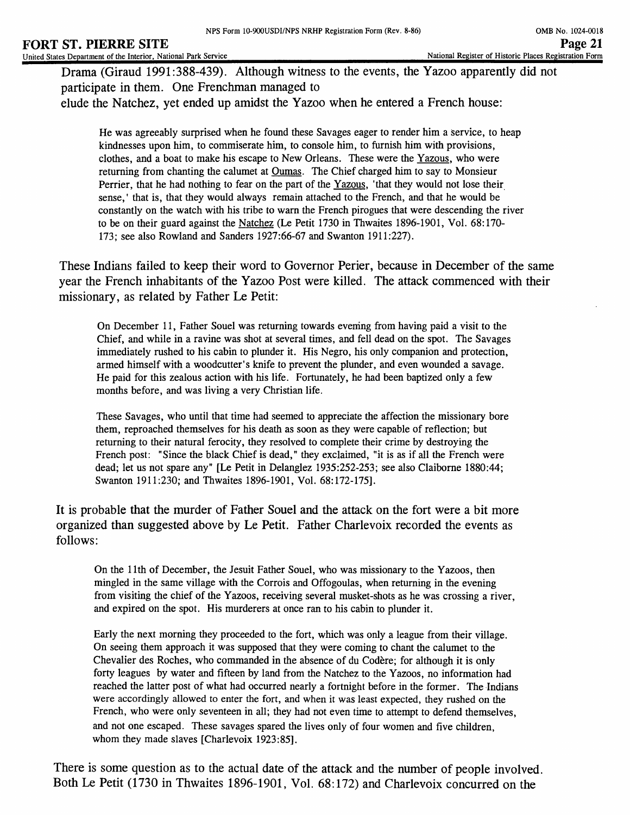Drama (Giraud 1991:388-439). Although witness to the events, the Yazoo apparently did not participate in them. One Frenchman managed to elude the Natchez, yet ended up amidst the Yazoo when he entered a French house:

He was agreeably surprised when he found these Savages eager to render him a service, to heap kindnesses upon him, to commiserate him, to console him, to furnish him with provisions, clothes, and a boat to make his escape to New Orleans. These were the Yazous. who were returning from chanting the calumet at Oumas. The Chief charged him to say to Monsieur Perrier, that he had nothing to fear on the part of the Yazous. 'that they would not lose their sense,' that is, that they would always remain attached to the French, and that he would be constantly on the watch with his tribe to warn the French pirogues that were descending the river to be on their guard against the Natchez (Le Petit 1730 in Thwaites 1896-1901, Vol. 68:170- 173; see also Rowland and Sanders 1927:66-67 and Swanton 1911:227).

These Indians failed to keep their word to Governor Perier, because in December of the same year the French inhabitants of the Yazoo Post were killed. The attack commenced with their missionary, as related by Father Le Petit:

On December 11, Father Souel was returning towards evening from having paid a visit to the Chief, and while in a ravine was shot at several times, and fell dead on the spot. The Savages immediately rushed to his cabin to plunder it. His Negro, his only companion and protection, armed himself with a woodcutter's knife to prevent the plunder, and even wounded a savage. He paid for this zealous action with his life. Fortunately, he had been baptized only a few months before, and was living a very Christian life.

These Savages, who until that time had seemed to appreciate the affection the missionary bore them, reproached themselves for his death as soon as they were capable of reflection; but returning to their natural ferocity, they resolved to complete their crime by destroying the French post: "Since the black Chief is dead," they exclaimed, "it is as if all the French were dead; let us not spare any" [Le Petit in Delanglez 1935:252-253; see also Claiborne 1880:44; Swanton 1911:230; and Thwaites 1896-1901, Vol. 68:172-175].

It is probable that the murder of Father Souel and the attack on the fort were a bit more organized than suggested above by Le Petit. Father Charlevoix recorded the events as follows:

On the 11th of December, the Jesuit Father Souel, who was missionary to the Yazoos, then mingled in the same village with the Corrois and Offogoulas, when returning in the evening from visiting the chief of the Yazoos, receiving several musket-shots as he was crossing a river, and expired on the spot. His murderers at once ran to his cabin to plunder it.

Early the next morning they proceeded to the fort, which was only a league from their village. On seeing them approach it was supposed that they were coming to chant the calumet to the Chevalier des Roches, who commanded in the absence of du Codere; for although it is only forty leagues by water and fifteen by land from the Natchez to the Yazoos, no information had reached the latter post of what had occurred nearly a fortnight before in the former. The Indians were accordingly allowed to enter the fort, and when it was least expected, they rushed on the French, who were only seventeen in all; they had not even time to attempt to defend themselves, and not one escaped. These savages spared the lives only of four women and five children, whom they made slaves [Charlevoix 1923:85].

There is some question as to the actual date of the attack and the number of people involved. Both Le Petit (1730 in Thwaites 1896-1901, Vol. 68:172) and Charlevoix concurred on the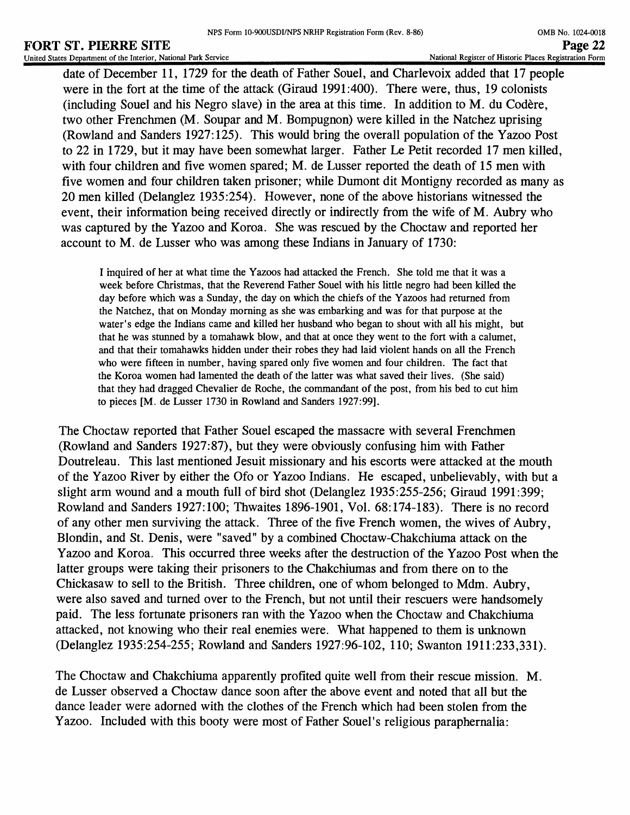date of December 11, 1729 for the death of Father Souel, and Charlevoix added that 17 people were in the fort at the time of the attack (Giraud 1991:400). There were, thus, 19 colonists (including Souel and his Negro slave) in the area at this time. In addition to  $M$ . du Codère, two other Frenchmen (M. Soupar and M. Bompugnon) were killed in the Natchez uprising (Rowland and Sanders 1927:125). This would bring the overall population of the Yazoo Post to 22 in 1729, but it may have been somewhat larger. Father Le Petit recorded 17 men killed, with four children and five women spared; M. de Lusser reported the death of 15 men with five women and four children taken prisoner; while Dumont dit Montigny recorded as many as 20 men killed (Delanglez 1935:254). However, none of the above historians witnessed the event, their information being received directly or indirectly from the wife of M. Aubry who was captured by the Yazoo and Koroa. She was rescued by the Choctaw and reported her account to M. de Lusser who was among these Indians in January of 1730:

I inquired of her at what time the Yazoos had attacked the French. She told me that it was a week before Christmas, that the Reverend Father Souel with his little negro had been killed the day before which was a Sunday, the day on which the chiefs of the Yazoos had returned from the Natchez, that on Monday morning as she was embarking and was for that purpose at the water's edge the Indians came and killed her husband who began to shout with all his might, but that he was stunned by a tomahawk blow, and that at once they went to the fort with a calumet, and that their tomahawks hidden under their robes they had laid violent hands on all the French who were fifteen in number, having spared only five women and four children. The fact that the Koroa women had lamented the death of the latter was what saved their lives. (She said) that they had dragged Chevalier de Roche, the commandant of the post, from his bed to cut him to pieces [M. de Lusser 1730 in Rowland and Sanders 1927:99].

The Choctaw reported that Father Souel escaped the massacre with several Frenchmen (Rowland and Sanders 1927:87), but they were obviously confusing him with Father Doutreleau. This last mentioned Jesuit missionary and his escorts were attacked at the mouth of the Yazoo River by either the Ofo or Yazoo Indians. He escaped, unbelievably, with but a slight arm wound and a mouth full of bird shot (Delanglez 1935:255-256; Giraud 1991:399; Rowland and Sanders 1927:100; Thwaites 1896-1901, Vol. 68:174-183). There is no record of any other men surviving the attack. Three of the five French women, the wives of Aubry, Blondin, and St. Denis, were "saved" by a combined Choctaw-Chakchiuma attack on the Yazoo and Koroa. This occurred three weeks after the destruction of the Yazoo Post when the latter groups were taking their prisoners to the Chakchiumas and from there on to the Chickasaw to sell to the British. Three children, one of whom belonged to Mdm. Aubry, were also saved and turned over to the French, but not until their rescuers were handsomely paid. The less fortunate prisoners ran with the Yazoo when the Choctaw and Chakchiuma attacked, not knowing who their real enemies were. What happened to them is unknown (Delanglez 1935:254-255; Rowland and Sanders 1927:96-102, 110; Swanton 1911:233,331).

The Choctaw and Chakchiuma apparently profited quite well from their rescue mission. M. de Lusser observed a Choctaw dance soon after the above event and noted that all but the dance leader were adorned with the clothes of the French which had been stolen from the Yazoo. Included with this booty were most of Father Souel's religious paraphernalia: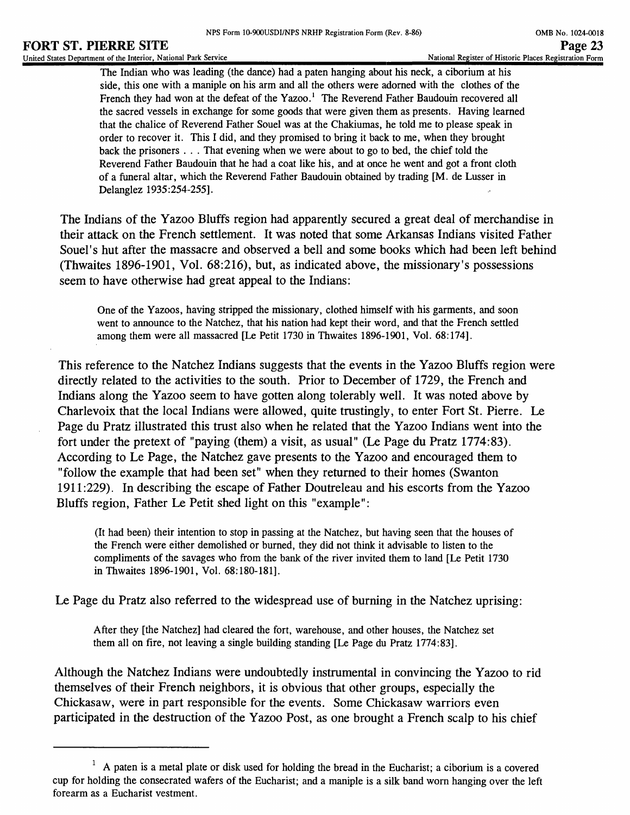The Indian who was leading (the dance) had a paten hanging about his neck, a ciborium at his side, this one with a maniple on his arm and all the others were adorned with the clothes of the French they had won at the defeat of the Yazoo.<sup>1</sup> The Reverend Father Baudouin recovered all the sacred vessels in exchange for some goods that were given them as presents. Having learned that the chalice of Reverend Father Souel was at the Chakiumas, he told me to please speak in order to recover it. This I did, and they promised to bring it back to me, when they brought back the prisoners . . . That evening when we were about to go to bed, the chief told the Reverend Father Baudouin that he had a coat like his, and at once he went and got a front cloth of a funeral altar, which the Reverend Father Baudouin obtained by trading [M. de Lusser in Delanglez 1935:254-255].

The Indians of the Yazoo Bluffs region had apparently secured a great deal of merchandise in their attack on the French settlement. It was noted that some Arkansas Indians visited Father Souel's hut after the massacre and observed a bell and some books which had been left behind (Thwaites 1896-1901, Vol. 68:216), but, as indicated above, the missionary's possessions seem to have otherwise had great appeal to the Indians:

One of the Yazoos, having stripped the missionary, clothed himself with his garments, and soon went to announce to the Natchez, that his nation had kept their word, and that the French settled among them were all massacred [Le Petit 1730 in Thwaites 1896-1901, Vol. 68:174].

This reference to the Natchez Indians suggests that the events in the Yazoo Bluffs region were directly related to the activities to the south. Prior to December of 1729, the French and Indians along the Yazoo seem to have gotten along tolerably well. It was noted above by Charlevoix that the local Indians were allowed, quite trustingly, to enter Fort St. Pierre. Le Page du Pratz illustrated this trust also when he related that the Yazoo Indians went into the fort under the pretext of "paying (them) a visit, as usual" (Le Page du Pratz 1774:83). According to Le Page, the Natchez gave presents to the Yazoo and encouraged them to "follow the example that had been set" when they returned to their homes (Swanton 1911:229). In describing the escape of Father Doutreleau and his escorts from the Yazoo Bluffs region, Father Le Petit shed light on this "example":

(It had been) their intention to stop in passing at the Natchez, but having seen that the houses of the French were either demolished or burned, they did not think it advisable to listen to the compliments of the savages who from the bank of the river invited them to land [Le Petit 1730 in Thwaites 1896-1901, Vol. 68:180-181].

Le Page du Pratz also referred to the widespread use of burning in the Natchez uprising:

After they [the Natchez] had cleared the fort, warehouse, and other houses, the Natchez set them all on fire, not leaving a single building standing [Le Page du Pratz 1774:83].

Although the Natchez Indians were undoubtedly instrumental in convincing the Yazoo to rid themselves of their French neighbors, it is obvious that other groups, especially the Chickasaw, were in part responsible for the events. Some Chickasaw warriors even participated in the destruction of the Yazoo Post, as one brought a French scalp to his chief

<sup>&</sup>lt;sup>1</sup> A paten is a metal plate or disk used for holding the bread in the Eucharist; a ciborium is a covered cup for holding the consecrated wafers of the Eucharist; and a maniple is a silk band worn hanging over the left forearm as a Eucharist vestment.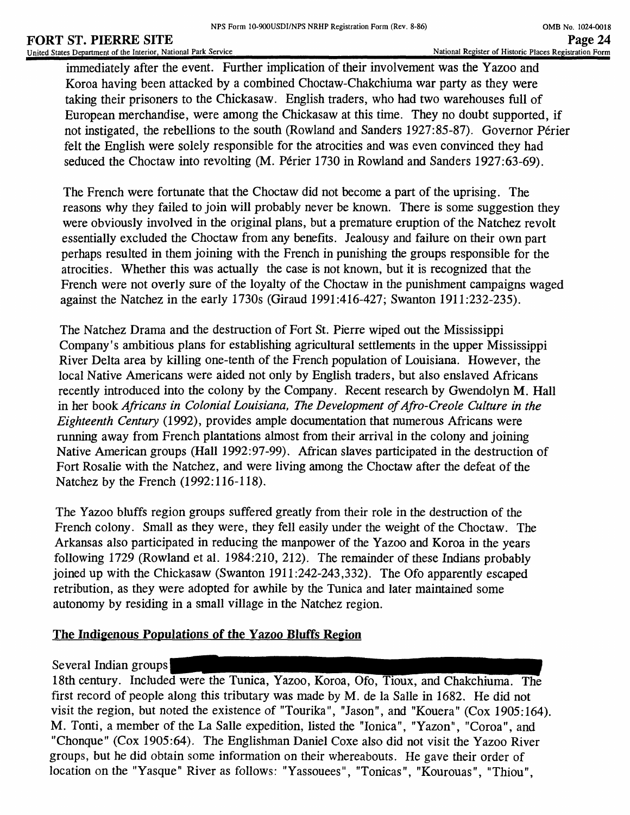immediately after the event. Further implication of their involvement was the Yazoo and Koroa having been attacked by a combined Choctaw-Chakchiuma war party as they were taking their prisoners to the Chickasaw. English traders, who had two warehouses full of European merchandise, were among the Chickasaw at this time. They no doubt supported, if not instigated, the rebellions to the south (Rowland and Sanders 1927:85-87). Governor Perier felt the English were solely responsible for the atrocities and was even convinced they had seduced the Choctaw into revolting (M. Périer 1730 in Rowland and Sanders 1927:63-69).

The French were fortunate that the Choctaw did not become a part of the uprising. The reasons why they failed to join will probably never be known. There is some suggestion they were obviously involved in the original plans, but a premature eruption of the Natchez revolt essentially excluded the Choctaw from any benefits. Jealousy and failure on their own part perhaps resulted in them joining with the French in punishing the groups responsible for the atrocities. Whether this was actually the case is not known, but it is recognized that the French were not overly sure of the loyalty of the Choctaw in the punishment campaigns waged against the Natchez in the early 1730s (Giraud 1991:416-427; Swanton 1911:232-235).

The Natchez Drama and the destruction of Fort St. Pierre wiped out the Mississippi Company's ambitious plans for establishing agricultural settlements in the upper Mississippi River Delta area by killing one-tenth of the French population of Louisiana. However, the local Native Americans were aided not only by English traders, but also enslaved Africans recently introduced into the colony by the Company. Recent research by Gwendolyn M. Hall in her book *Africans in Colonial Louisiana, The Development of Afro-Creole Culture in the Eighteenth Century* (1992), provides ample documentation that numerous Africans were running away from French plantations almost from their arrival in the colony and joining Native American groups (Hall 1992:97-99). African slaves participated in the destruction of Fort Rosalie with the Natchez, and were living among the Choctaw after the defeat of the Natchez by the French (1992:116-118).

The Yazoo bluffs region groups suffered greatly from their role in the destruction of the French colony. Small as they were, they fell easily under the weight of the Choctaw. The Arkansas also participated in reducing the manpower of the Yazoo and Koroa in the years following 1729 (Rowland et al. 1984:210, 212). The remainder of these Indians probably joined up with the Chickasaw (Swanton 1911:242-243,332). The Ofo apparently escaped retribution, as they were adopted for awhile by the Tunica and later maintained some autonomy by residing in a small village in the Natchez region.

# **The Indigenous Populations of the Yazoo Bluffs Region**

Several Indian groups |

18th century. Included were the Tunica, Yazoo, Koroa, Ofo, Tioux, and Chakchiuma. The first record of people along this tributary was made by M. de la Salle in 1682. He did not visit the region, but noted the existence of "Tourika", "Jason", and "Kouera" (Cox 1905:164). M. Tonti, a member of the La Salle expedition, listed the "lonica", "Yazon", "Coroa", and "Chonque" (Cox 1905:64). The Englishman Daniel Coxe also did not visit the Yazoo River groups, but he did obtain some information on their whereabouts. He gave their order of location on the "Yasque" River as follows: "Yassouees", "Tonicas", "Kourouas", "Thiou",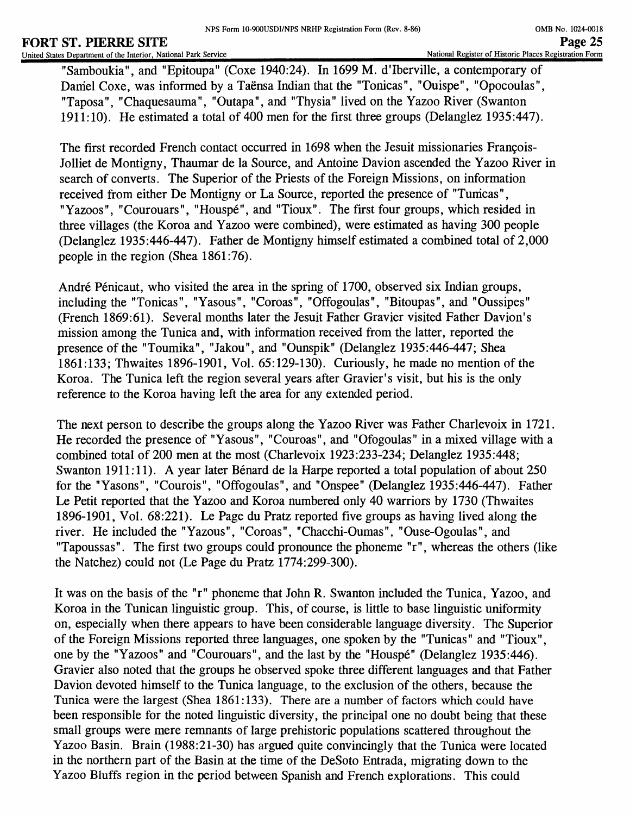#### **FORT ST. PIERRE SITE**<br>
United States Department of the Interior, National Park Service Page 25<br>
Page 25 United States Department of the Interior, National Park Service

"Samboukia", and "Epitoupa" (Coxe 1940:24). In 1699 M. d'lberville, a contemporary of Damiel Coxe, was informed by a Taënsa Indian that the "Tonicas", "Ouispe", "Opocoulas", "Taposa", "Chaquesauma", "Outapa", and "Thysia" lived on the Yazoo River (Swanton 1911:10). He estimated a total of 400 men for the first three groups (Delanglez 1935:447).

The first recorded French contact occurred in 1698 when the Jesuit missionaries Francois-Jolliet de Montigny, Thaumar de la Source, and Antoine Davion ascended the Yazoo River in search of converts. The Superior of the Priests of the Foreign Missions, on information received from either De Montigny or La Source, reported the presence of "Tunicas", "Yazoos", "Courouars", "Houspé", and "Tioux". The first four groups, which resided in three villages (the Koroa and Yazoo were combined), were estimated as having 300 people (Delanglez 1935:446-447). Father de Montigny himself estimated a combined total of 2,000 people in the region (Shea 1861:76).

André Pénicaut, who visited the area in the spring of 1700, observed six Indian groups, including the "Tonicas", "Yasous", "Coroas", "Offogoulas", "Bitoupas", and "Oussipes" (French 1869:61). Several months later the Jesuit Father Gravier visited Father Davion's mission among the Tunica and, with information received from the latter, reported the presence of the "Toumika", "Jakou", and "Ounspik" (Delanglez 1935:446-447; Shea 1861:133; Thwaites 1896-1901, Vol. 65:129-130). Curiously, he made no mention of the Koroa. The Tunica left the region several years after Gravier's visit, but his is the only reference to the Koroa having left the area for any extended period.

The next person to describe the groups along the Yazoo River was Father Charlevoix in 1721. He recorded the presence of "Yasous", "Couroas", and "Ofogoulas" in a mixed village with a combined total of 200 men at the most (Charlevoix 1923:233-234; Delanglez 1935:448; Swanton 1911:11). A year later Bénard de la Harpe reported a total population of about 250 for the "Yasons", "Courois", "Offogoulas", and "Onspee" (Delanglez 1935:446-447). Father Le Petit reported that the Yazoo and Koroa numbered only 40 warriors by 1730 (Thwaites 1896-1901, Vol. 68:221). Le Page du Pratz reported five groups as having lived along the river. He included the "Yazous", "Coroas", "Chacchi-Oumas", "Ouse-Ogoulas", and "Tapoussas". The first two groups could pronounce the phoneme "r", whereas the others (like the Natchez) could not (Le Page du Pratz 1774:299-300).

It was on the basis of the "r" phoneme that John R. Swanton included the Tunica, Yazoo, and Koroa in the Tunican linguistic group. This, of course, is little to base linguistic uniformity on, especially when there appears to have been considerable language diversity. The Superior of the Foreign Missions reported three languages, one spoken by the "Tunicas" and "Tioux", one by the "Yazoos" and "Courouars", and the last by the "Houspe" (Delanglez 1935:446). Gravier also noted that the groups he observed spoke three different languages and that Father Davion devoted himself to the Tunica language, to the exclusion of the others, because the Tunica were the largest (Shea 1861:133). There are a number of factors which could have been responsible for the noted linguistic diversity, the principal one no doubt being that these small groups were mere remnants of large prehistoric populations scattered throughout the Yazoo Basin. Brain (1988:21-30) has argued quite convincingly that the Tunica were located in the northern part of the Basin at the time of the DeSoto Entrada, migrating down to the Yazoo Bluffs region in the period between Spanish and French explorations. This could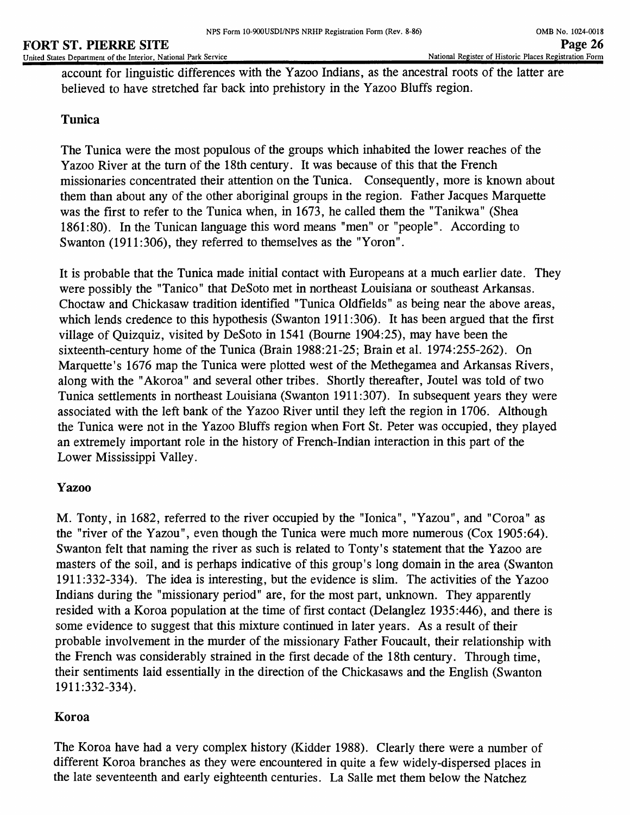#### **FORT ST. PIERRE SITE**<br>
United States Department of the Interior, National Park Service Page 26<br>
Page 26 United States Department of the Interior, National Park Service

account for linguistic differences with the Yazoo Indians, as the ancestral roots of the latter are believed to have stretched far back into prehistory in the Yazoo Bluffs region.

# **Tunica**

The Tunica were the most populous of the groups which inhabited the lower reaches of the Yazoo River at the turn of the 18th century. It was because of this that the French missionaries concentrated their attention on the Tunica. Consequently, more is known about them than about any of the other aboriginal groups in the region. Father Jacques Marquette was the first to refer to the Tunica when, in 1673, he called them the "Tanikwa" (Shea 1861:80). In the Tunican language this word means "men" or "people". According to Swanton (1911:306), they referred to themselves as the "Yoron".

It is probable that the Tunica made initial contact with Europeans at a much earlier date. They were possibly the "Tanico" that DeSoto met in northeast Louisiana or southeast Arkansas. Choctaw and Chickasaw tradition identified "Tunica Oldfields" as being near the above areas, which lends credence to this hypothesis (Swanton 1911:306). It has been argued that the first village of Quizquiz, visited by DeSoto in 1541 (Bourne 1904:25), may have been the sixteenth-century home of the Tunica (Brain 1988:21-25; Brain et al. 1974:255-262). On Marquette's 1676 map the Tunica were plotted west of the Methegamea and Arkansas Rivers, along with the "Akoroa" and several other tribes. Shortly thereafter, Joutel was told of two Tunica settlements in northeast Louisiana (Swanton 1911:307). In subsequent years they were associated with the left bank of the Yazoo River until they left the region in 1706. Although the Tunica were not in the Yazoo Bluffs region when Fort St. Peter was occupied, they played an extremely important role in the history of French-Indian interaction in this part of the Lower Mississippi Valley.

# **Yazoo**

M. Tonty, in 1682, referred to the river occupied by the "lonica", "Yazou", and "Coroa" as the "river of the Yazou", even though the Tunica were much more numerous (Cox 1905:64). Swanton felt that naming the river as such is related to Tonty's statement that the Yazoo are masters of the soil, and is perhaps indicative of this group's long domain in the area (Swanton 1911:332-334). The idea is interesting, but the evidence is slim. The activities of the Yazoo Indians during the "missionary period" are, for the most part, unknown. They apparently resided with a Koroa population at the time of first contact (Delanglez 1935:446), and there is some evidence to suggest that this mixture continued in later years. As a result of their probable involvement in the murder of the missionary Father Foucault, their relationship with the French was considerably strained in the first decade of the 18th century. Through time, their sentiments laid essentially in the direction of the Chickasaws and the English (Swanton 1911:332-334).

# **Koroa**

The Koroa have had a very complex history (Kidder 1988). Clearly there were a number of different Koroa branches as they were encountered in quite a few widely-dispersed places in the late seventeenth and early eighteenth centuries. La Salle met them below the Natchez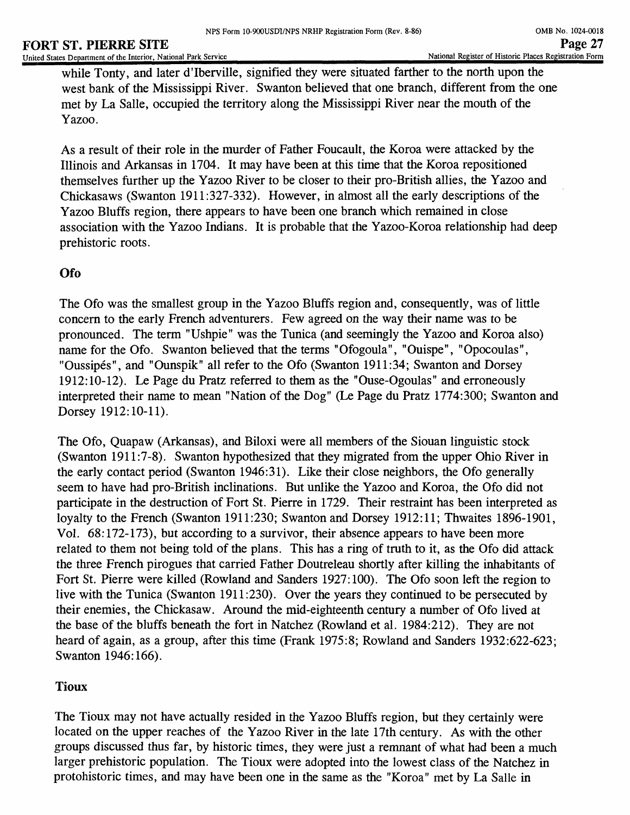#### **FORT ST. PIERRE SITE** Page 27<br>
United States Department of the Interior, National Park Service Page 27<br>
Page 27 United States Department of the Interior, National Park Service

while Tonty, and later d'lberville, signified they were situated farther to the north upon the west bank of the Mississippi River. Swanton believed that one branch, different from the one met by La Salle, occupied the territory along the Mississippi River near the mouth of the Yazoo.

As a result of their role in the murder of Father Foucault, the Koroa were attacked by the Illinois and Arkansas in 1704. It may have been at this time that the Koroa repositioned themselves further up the Yazoo River to be closer to their pro-British allies, the Yazoo and Chickasaws (Swanton 1911:327-332). However, in almost all the early descriptions of the Yazoo Bluffs region, there appears to have been one branch which remained in close association with the Yazoo Indians. It is probable that the Yazoo-Koroa relationship had deep prehistoric roots.

# **Ofo**

The Ofo was the smallest group in the Yazoo Bluffs region and, consequently, was of little concern to the early French adventurers. Few agreed on the way their name was to be pronounced. The term "Ushpie" was the Tunica (and seemingly the Yazoo and Koroa also) name for the Ofo. Swanton believed that the terms "Ofogoula", "Ouispe", "Opocoulas", "Oussipes", and "Ounspik" all refer to the Ofo (Swanton 1911:34; Swanton and Dorsey 1912:10-12). Le Page du Pratz referred to them as the "Ouse-Ogoulas" and erroneously interpreted their name to mean "Nation of the Dog" (Le Page du Pratz 1774:300; Swanton and Dorsey 1912:10-11).

The Ofo, Quapaw (Arkansas), and Biloxi were all members of the Siouan linguistic stock (Swanton 1911:7-8). Swanton hypothesized that they migrated from the upper Ohio River in the early contact period (Swanton 1946:31). Like their close neighbors, the Ofo generally seem to have had pro-British inclinations. But unlike the Yazoo and Koroa, the Ofo did not participate in the destruction of Fort St. Pierre in 1729. Their restraint has been interpreted as loyalty to the French (Swanton 1911:230; Swanton and Dorsey 1912:11; Thwaites 1896-1901, Vol. 68:172-173), but according to a survivor, their absence appears to have been more related to them not being told of the plans. This has a ring of truth to it, as the Ofo did attack the three French pirogues that carried Father Doutreleau shortly after killing the inhabitants of Fort St. Pierre were killed (Rowland and Sanders 1927:100). The Ofo soon left the region to live with the Tunica (Swanton 1911:230). Over the years they continued to be persecuted by their enemies, the Chickasaw. Around the mid-eighteenth century a number of Ofo lived at the base of the bluffs beneath the fort in Natchez (Rowland et al. 1984:212). They are not heard of again, as a group, after this time (Frank 1975:8; Rowland and Sanders 1932:622-623; Swanton 1946:166).

# **Tioux**

The Tioux may not have actually resided in the Yazoo Bluffs region, but they certainly were located on the upper reaches of the Yazoo River in the late 17th century. As with the other groups discussed thus far, by historic times, they were just a remnant of what had been a much larger prehistoric population. The Tioux were adopted into the lowest class of the Natchez in protohistoric times, and may have been one in the same as the "Koroa" met by La Salle in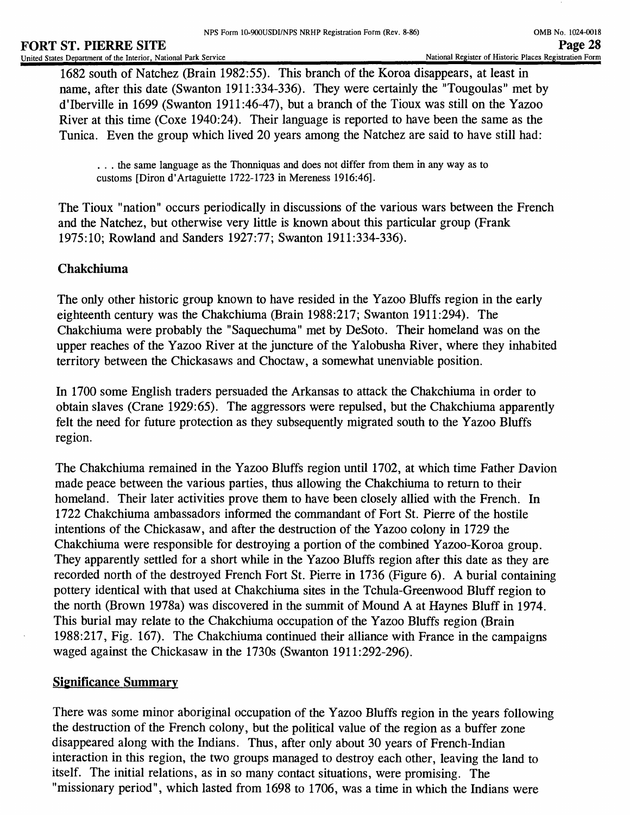1682 south of Natchez (Brain 1982:55). This branch of the Koroa disappears, at least in name, after this date (Swanton 1911:334-336). They were certainly the "Tougoulas" met by d'lberville in 1699 (Swanton 1911:46-47), but a branch of the Tioux was still on the Yazoo River at this time (Coxe 1940:24). Their language is reported to have been the same as the Tunica. Even the group which lived 20 years among the Natchez are said to have still had:

... the same language as the Thonniquas and does not differ from them in any way as to customs [Diron d'Artaguiette 1722-1723 in Mereness 1916:46].

The Tioux "nation" occurs periodically in discussions of the various wars between the French and the Natchez, but otherwise very little is known about this particular group (Frank 1975:10; Rowland and Sanders 1927:77; Swanton 1911:334-336).

# **Chakchiuma**

The only other historic group known to have resided in the Yazoo Bluffs region in the early eighteenth century was the Chakchiuma (Brain 1988:217; Swanton 1911:294). The Chakchiuma were probably the "Saquechuma" met by DeSoto. Their homeland was on the upper reaches of the Yazoo River at the juncture of the Yalobusha River, where they inhabited territory between the Chickasaws and Choctaw, a somewhat unenviable position.

In 1700 some English traders persuaded the Arkansas to attack the Chakchiuma in order to obtain slaves (Crane 1929:65). The aggressors were repulsed, but the Chakchiuma apparently felt the need for future protection as they subsequently migrated south to the Yazoo Bluffs region.

The Chakchiuma remained in the Yazoo Bluffs region until 1702, at which time Father Davion made peace between the various parties, thus allowing the Chakchiuma to return to their homeland. Their later activities prove them to have been closely allied with the French. In 1722 Chakchiuma ambassadors informed the commandant of Fort St. Pierre of the hostile intentions of the Chickasaw, and after the destruction of the Yazoo colony in 1729 the Chakchiuma were responsible for destroying a portion of the combined Yazoo-Koroa group. They apparently settled for a short while in the Yazoo Bluffs region after this date as they are recorded north of the destroyed French Fort St. Pierre in 1736 (Figure 6). A burial containing pottery identical with that used at Chakchiuma sites in the Tchula-Greenwood Bluff region to the north (Brown 1978a) was discovered in the summit of Mound A at Haynes Bluff in 1974. This burial may relate to the Chakchiuma occupation of the Yazoo Bluffs region (Brain 1988:217, Fig. 167). The Chakchiuma continued their alliance with France in the campaigns waged against the Chickasaw in the 1730s (Swanton 1911:292-296).

# **Significance Summary**

There was some minor aboriginal occupation of the Yazoo Bluffs region in the years following the destruction of the French colony, but the political value of the region as a buffer zone disappeared along with the Indians. Thus, after only about 30 years of French-Indian interaction in this region, the two groups managed to destroy each other, leaving the land to itself. The initial relations, as in so many contact situations, were promising. The "missionary period", which lasted from 1698 to 1706, was a time in which the Indians were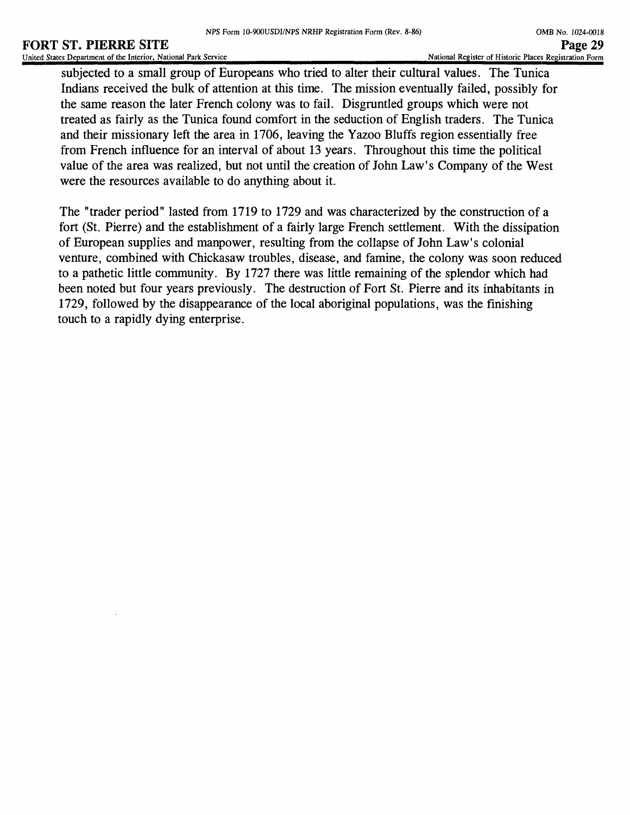#### **FORT ST. PIERRE SITE**<br>
United States Department of the Interior, National Park Service<br>
Page 29 United States Department of the Interior, National Park Service

subjected to a small group of Europeans who tried to alter their cultural values. The Tunica Indians received the bulk of attention at this time. The mission eventually failed, possibly for the same reason the later French colony was to fail. Disgruntled groups which were not treated as fairly as the Tunica found comfort in the seduction of English traders. The Tunica and their missionary left the area in 1706, leaving the Yazoo Bluffs region essentially free from French influence for an interval of about 13 years. Throughout this time the political value of the area was realized, but not until the creation of John Law's Company of the West were the resources available to do anything about it.

The "trader period" lasted from 1719 to 1729 and was characterized by the construction of a fort (St. Pierre) and the establishment of a fairly large French settlement. With the dissipation of European supplies and manpower, resulting from the collapse of John Law's colonial venture, combined with Chickasaw troubles, disease, and famine, the colony was soon reduced to a pathetic little community. By 1727 there was little remaining of the splendor which had been noted but four years previously. The destruction of Fort St. Pierre and its inhabitants in 1729, followed by the disappearance of the local aboriginal populations, was the finishing touch to a rapidly dying enterprise.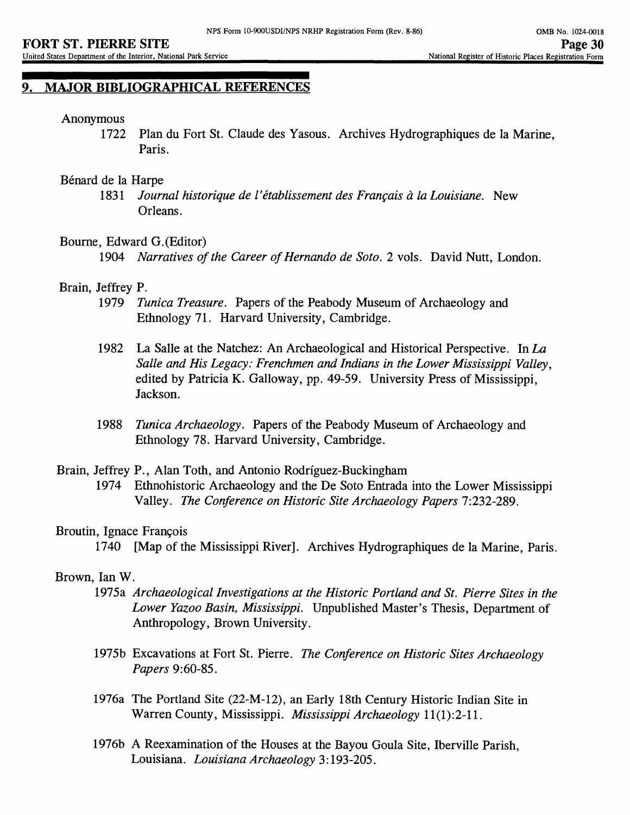# **9. MAJOR BIBLIOGRAPHICAL REFERENCES**

#### Anonymous

1722 Plan du Fort St. Claude des Yasous. Archives Hydrographiques de la Marine, Paris.

#### Benard de la Harpe

1831 *Journal historique de I' etablissement des Francais a la Louisiane.* New Orleans.

#### Bourne, Edward G.(Editor)

1904 *Narratives of the Career of Hernando de Soto.* 2 vols. David Nutt, London.

#### Brain, Jeffrey P.

- 1979 *Tunica Treasure.* Papers of the Peabody Museum of Archaeology and Ethnology 71. Harvard University, Cambridge.
- 1982 La Salle at the Natchez: An Archaeological and Historical Perspective. In *La Salle and His Legacy: Frenchmen and Indians in the Lower Mississippi Valley,*  edited by Patricia K. Galloway, pp. 49-59. University Press of Mississippi, Jackson.
- 1988 *Tunica Archaeology.* Papers of the Peabody Museum of Archaeology and Ethnology 78. Harvard University, Cambridge.

#### Brain, Jeffrey P., Alan Toth, and Antonio Rodriguez-Buckingham

1974 Ethnohistoric Archaeology and the De Soto Entrada into the Lower Mississippi Valley. *The Conference on Historic Site Archaeology Papers* 7:232-289.

#### Broutin, Ignace Francois

1740 [Map of the Mississippi River], Archives Hydrographiques de la Marine, Paris.

#### Brown, lan W.

- 1975a *Archaeological Investigations at the Historic Portland and St. Pierre Sites in the Lower Yazoo Basin, Mississippi.* Unpublished Master's Thesis, Department of Anthropology, Brown University.
- 1975b Excavations at Fort St. Pierre. *The Conference on Historic Sites Archaeology Papers* 9:60-85.
- 1976a The Portland Site (22-M-12), an Early 18th Century Historic Indian Site in Warren County, Mississippi. *Mississippi Archaeology* 11(1):2-11.
- 1976b A Reexamination of the Houses at the Bayou Goula Site, Iberville Parish, Louisiana. *Louisiana Archaeology* 3:193-205.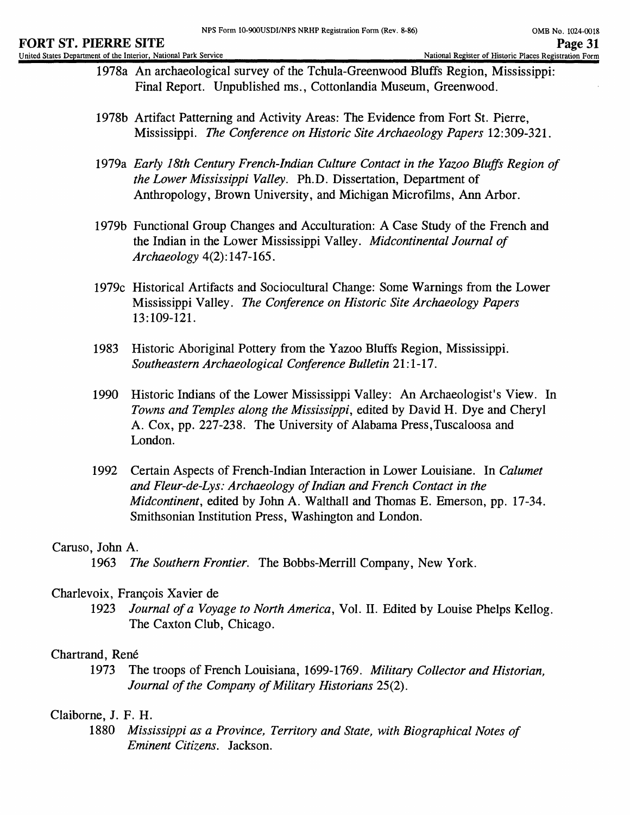- 1978a An archaeological survey of the Tchula-Greenwood Bluffs Region, Mississippi: Final Report. Unpublished ms., Cottonlandia Museum, Greenwood.
- 1978b Artifact Patterning and Activity Areas: The Evidence from Fort St. Pierre, Mississippi. *The Conference on Historic Site Archaeology Papers* 12:309-321.
- 1979a *Early 18th Century French-Indian Culture Contact in the Yazoo Bluffs Region of the Lower Mississippi Valley.* Ph.D. Dissertation, Department of Anthropology, Brown University, and Michigan Microfilms, Ann Arbor.
- 1979b Functional Group Changes and Acculturation: A Case Study of the French and the Indian in the Lower Mississippi Valley. *Midcontinental Journal of Archaeology* 4(2):147-165.
- 1979c Historical Artifacts and Sociocultural Change: Some Warnings from the Lower Mississippi Valley. *The Conference on Historic Site Archaeology Papers*  13:109-121.
- 1983 Historic Aboriginal Pottery from the Yazoo Bluffs Region, Mississippi. *Southeastern Archaeological Conference Bulletin* 21:1-17.
- 1990 Historic Indians of the Lower Mississippi Valley: An Archaeologist's View. In *Towns and Temples along the Mississippi,* edited by David H. Dye and Cheryl A. Cox, pp. 227-238. The University of Alabama Press,Tuscaloosa and London.
- 1992 Certain Aspects of French-Indian Interaction in Lower Louisiane. In *Calumet and Fleur-de-Lys: Archaeology of Indian and French Contact in the Midcontinent,* edited by John A. Walthall and Thomas E. Emerson, pp. 17-34. Smithsonian Institution Press, Washington and London.

# Caruso, John A.

1963 *The Southern Frontier.* The Bobbs-Merrill Company, New York.

# Charlevoix, Frangois Xavier de

1923 *Journal of a Voyage to North America,* Vol. II. Edited by Louise Phelps Kellog. The Caxton Club, Chicago.

# Chartrand, René

1973 The troops of French Louisiana, 1699-1769. *Military Collector and Historian, Journal of the Company of Military Historians* 25(2).

# Claiborne, J. F. H.

1880 *Mississippi as a Province, Territory and State, with Biographical Notes of Eminent Citizens.* Jackson.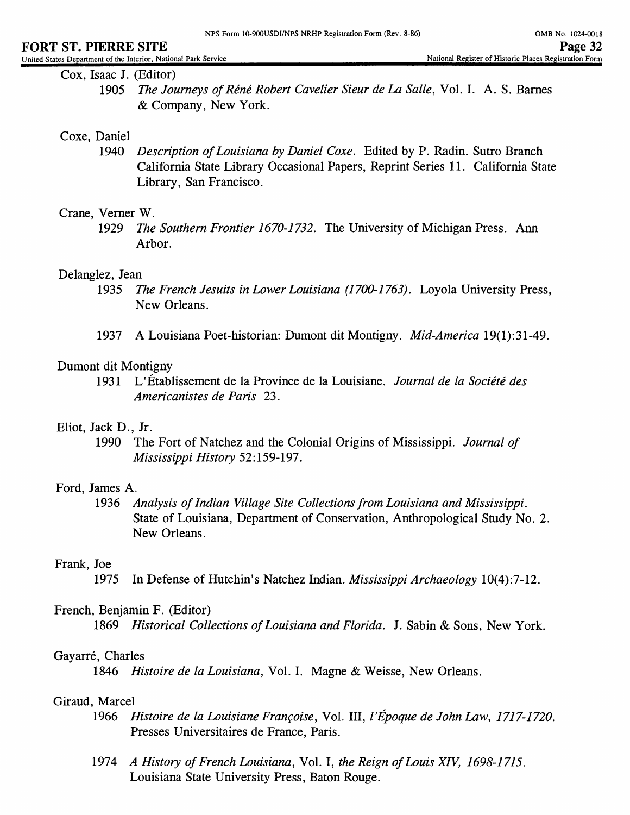Cox, Isaac J. (Editor)

1905 *The Journeys ofRene Robert Cavelier Sieur de La Salle,* Vol. I. A. S. Barnes & Company, New York.

#### Coxe, Daniel

1940 *Description of Louisiana by Daniel Coxe.* Edited by P. Radin. Sutro Branch California State Library Occasional Papers, Reprint Series 11. California State Library, San Francisco.

#### Crane, Verner W.

1929 *The Southern Frontier 1670-1732.* The University of Michigan Press. Ann Arbor.

#### Delanglez, Jean

- 1935 *The French Jesuits in Lower Louisiana (1700-1763).* Loyola University Press, New Orleans.
- 1937 A Louisiana Poet-historian: Dumont dit Montigny. *Mid-America* 19(l):31-49.

#### Dumont dit Montigny

1931 L'Etablissement de la Province de la Louisiane. *Journal de la Societe des Americanistes de Paris* 23.

### Eliot, JackD., Jr.

1990 The Fort of Natchez and the Colonial Origins of Mississippi. *Journal of Mississippi History* 52:159-197.

### Ford, James A.

1936 *Analysis of Indian Village Site Collections from Louisiana and Mississippi.* State of Louisiana, Department of Conservation, Anthropological Study No. 2. New Orleans.

#### Frank, Joe

1975 In Defense of Hutchin's Natchez Indian. *Mississippi Archaeology* 10(4):7-12.

#### French, Benjamin F. (Editor)

1869 *Historical Collections of Louisiana and Florida.* J. Sabin & Sons, New York.

#### Gayarré, Charles

1846 *Histoire de la Louisiana,* Vol. I. Magne & Weisse, New Orleans.

### Giraud, Marcel

- 1966 *Histoire de la Louisiane Francoise,* Vol. Ill, *I'Epoque de John Law, 1717-1720.*  Presses Universitaires de France, Paris.
- 1974 *A History of French Louisiana,* Vol. I, *the Reign of Louis XTV, 1698-1715.*  Louisiana State University Press, Baton Rouge.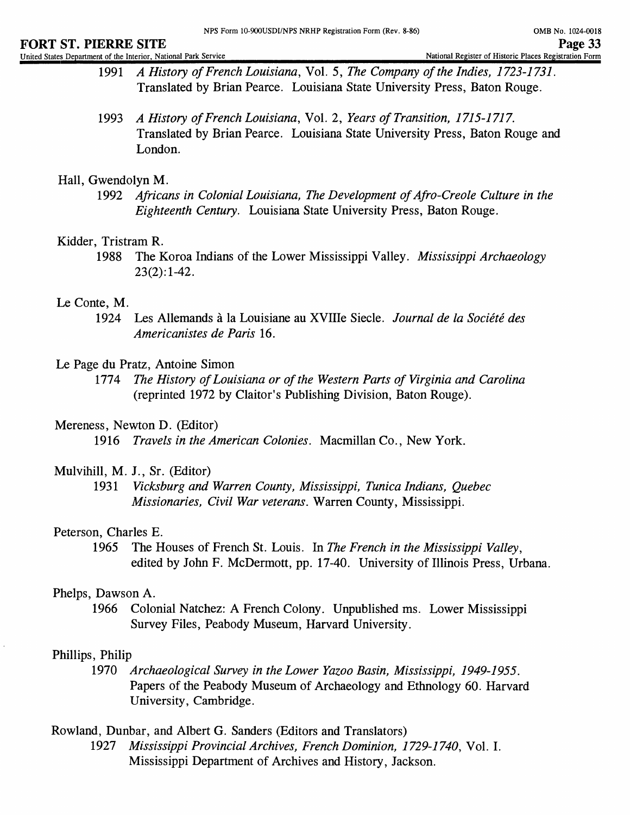#### **FORT ST. PIERRE SITE** PAGE PAGE PAGE SITE PAGE 33 United States Department of the Interior, National Park Service

- 1991 *A History of French Louisiana,* Vol. 5, *The Company of the Indies, 1723-1731.*  Translated by Brian Pearce. Louisiana State University Press, Baton Rouge.
- 1993 *A History of French Louisiana,* Vol. 2, *Years of Transition, 1715-1717.* Translated by Brian Pearce. Louisiana State University Press, Baton Rouge and London.

### Hall, Gwendolyn M.

1992 *Africans in Colonial Louisiana, The Development of Afro-Creole Culture in the Eighteenth Century.* Louisiana State University Press, Baton Rouge.

### Kidder, Tristram R.

1988 The Koroa Indians of the Lower Mississippi Valley. *Mississippi Archaeology*   $23(2):1-42.$ 

### Le Conte, M.

1924 Les Allemands a la Louisiane au XVIIIe Siecle. *Journal de la Societe des Americanistes de Paris* 16.

### Le Page du Pratz, Antoine Simon

1774 *The History of Louisiana or of the Western Pans of Virginia and Carolina*  (reprinted 1972 by Claitor's Publishing Division, Baton Rouge).

### Mereness, Newton D. (Editor)

1916 *Travels in the American Colonies.* Macmillan Co., New York.

### Mulvihill, M. J., Sr. (Editor)

1931 *Vicksburg and Warren County, Mississippi, Tunica Indians, Quebec Missionaries, Civil War veterans.* Warren County, Mississippi.

# Peterson, Charles E.

1965 The Houses of French St. Louis. In *The French in the Mississippi Valley,* edited by John F. McDermott, pp. 17-40. University of Illinois Press, Urbana.

# Phelps, Dawson A.

1966 Colonial Natchez: A French Colony. Unpublished ms. Lower Mississippi Survey Files, Peabody Museum, Harvard University.

# Phillips, Philip

1970 *Archaeological Survey in the Lower Yazoo Basin, Mississippi, 1949-1955.*  Papers of the Peabody Museum of Archaeology and Ethnology 60. Harvard University, Cambridge.

Rowland, Dunbar, and Albert G. Sanders (Editors and Translators)

1927 *Mississippi Provincial Archives, French Dominion, 1729-1740,* Vol. I. Mississippi Department of Archives and History, Jackson.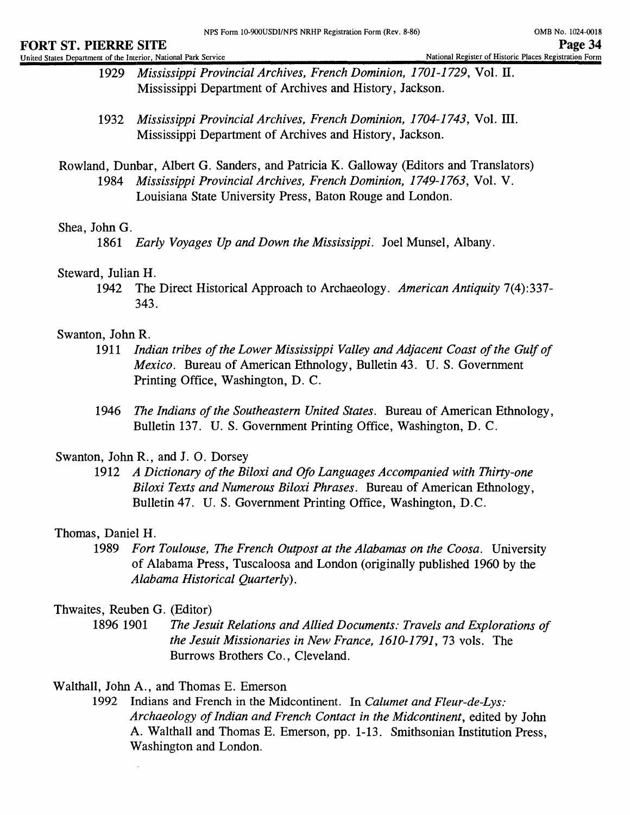- 1929 *Mississippi Provincial Archives, French Dominion, 1701-1729,* Vol. II. Mississippi Department of Archives and History, Jackson.
- 1932 *Mississippi Provincial Archives, French Dominion, 1704-1743,* Vol. III. Mississippi Department of Archives and History, Jackson.
- Rowland, Dunbar, Albert G. Sanders, and Patricia K. Galloway (Editors and Translators) 1984 *Mississippi Provincial Archives, French Dominion, 1749-1763,* Vol. V. Louisiana State University Press, Baton Rouge and London.

### Shea, John G.

1861 *Early Voyages Up and Down the Mississippi.* Joel Munsel, Albany.

#### Steward, Julian H.

1942 The Direct Historical Approach to Archaeology. *American Antiquity* 7(4): 337- 343.

### Swanton, John R.

- 1911 *Indian tribes of the Lower Mississippi Valley and Adjacent Coast of the Gulf of Mexico.* Bureau of American Ethnology, Bulletin 43. U. S. Government Printing Office, Washington, D. C.
- 1946 *The Indians of the Southeastern United States.* Bureau of American Ethnology, Bulletin 137. U. S. Government Printing Office, Washington, D. C.

### Swanton, John R., and J. O. Dorsey

1912 *A Dictionary of the Biloxi and Ofo Languages Accompanied with Thirty-one Biloxi Texts and Numerous Biloxi Phrases.* Bureau of American Ethnology, Bulletin 47. U. S. Government Printing Office, Washington, D.C.

### Thomas, Daniel H.

1989 *Fort Toulouse, The French Outpost at the Alabamas on the Coosa.* University of Alabama Press, Tuscaloosa and London (originally published 1960 by the *Alabama Historical Quarterly).*

### Thwaites, Reuben G. (Editor)

- 1896 1901 *The Jesuit Relations and Allied Documents: Travels and Explorations of the Jesuit Missionaries in New France, 1610-1791,* 73 vols. The Burrows Brothers Co., Cleveland.
- Walthall, John A., and Thomas E. Emerson
	- 1992 Indians and French in the Midcontinent. In *Calumet and Fleur-de-Lys: Archaeology of Indian and French Contact in the Midcontinent,* edited by John A. Walthall and Thomas E. Emerson, pp. 1-13. Smithsonian Institution Press, Washington and London.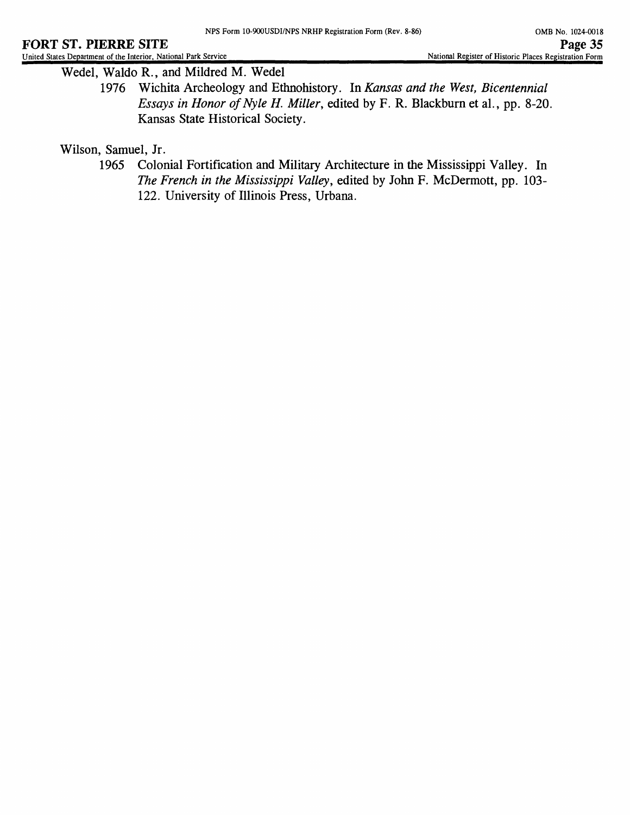Wedel, Waldo R., and Mildred M. Wedel

1976 Wichita Archeology and Ethnohistory. In *Kansas and the West, Bicentennial Essays in Honor of Nyle H. Miller, edited by F. R. Blackburn et al., pp. 8-20.* Kansas State Historical Society.

Wilson, Samuel, Jr.

1965 Colonial Fortification and Military Architecture in the Mississippi Valley. In *The French in the Mississippi Valley,* edited by John F. McDermott, pp. 103- 122. University of Illinois Press, Urbana.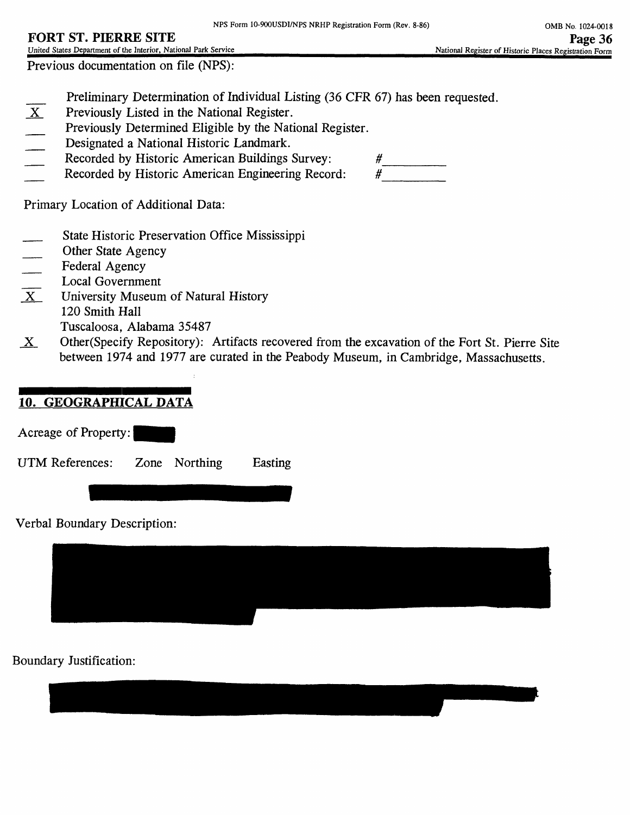# **FORT ST. PIERRE SITE**

United States Department of the Interior, National Park Service Previous documentation on file (NPS):

- **EXECUTE:** Preliminary Determination of Individual Listing (36 CFR 67) has been requested.<br> **EXECUTE:** Previously Listed in the National Register.
- Previously Listed in the National Register.
- Previously Determined Eligible by the National Register.
- Designated a National Historic Landmark.
- 
- Recorded by Historic American Buildings Survey:  $\#$ <br>Recorded by Historic American Engineering Record:  $\#$ Recorded by Historic American Engineering Record:

Primary Location of Additional Data:

- State Historic Preservation Office Mississippi
- 
- Federal Agency
- \_\_ Local Government
- Other State Agency<br>
Federal Agency<br>
Local Government<br>
X University Museum University Museum of Natural History 120 Smith Hall Tuscaloosa, Alabama 35487
- $X$  Other(Specify Repository): Artifacts recovered from the excavation of the Fort St. Pierre Site between 1974 and 1977 are curated in the Peabody Museum, in Cambridge, Massachusetts.

# **10. GEOGRAPHICAL DATA**

Acreage of Property:

UTM References: Zone Northing Easting

Verbal Boundary Description:

# Boundary Justification: